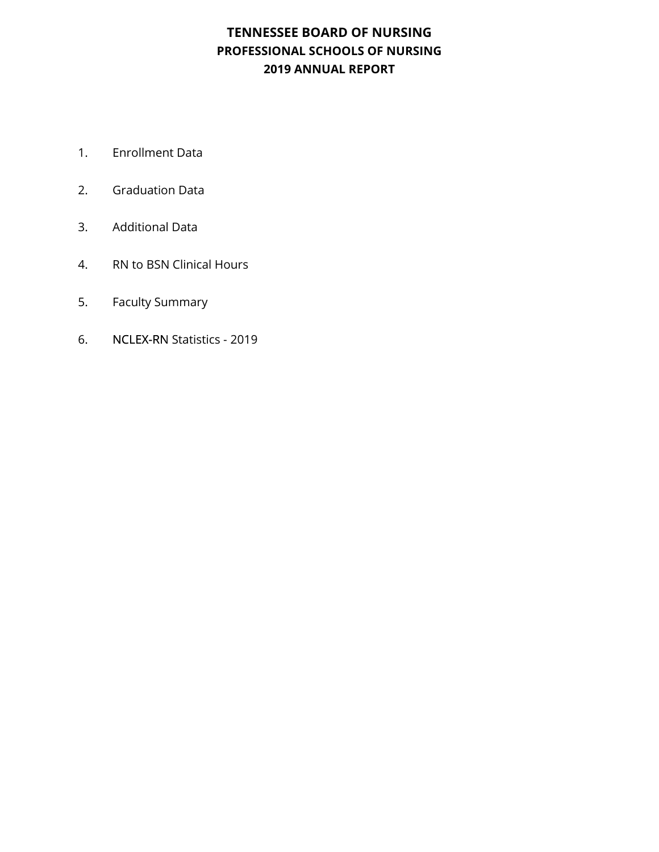### **TENNESSEE BOARD OF NURSING PROFESSIONAL SCHOOLS OF NURSING 2019 ANNUAL REPORT**

- 1. Enrollment Data
- 2. Graduation Data
- 3. Additional Data
- 4. RN to BSN Clinical Hours
- 5. Faculty Summary
- 6. NCLEX-RN Statistics 2019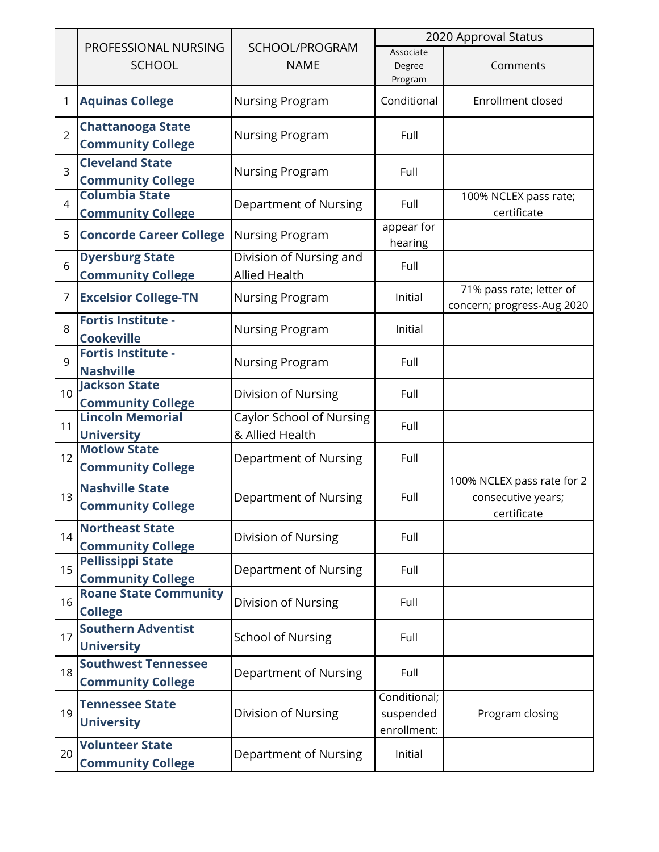|                |                                                                             |                                                    | 2020 Approval Status                     |                                                                 |
|----------------|-----------------------------------------------------------------------------|----------------------------------------------------|------------------------------------------|-----------------------------------------------------------------|
|                | PROFESSIONAL NURSING<br><b>SCHOOL</b>                                       | SCHOOL/PROGRAM<br><b>NAME</b>                      | Associate<br>Degree<br>Program           | Comments                                                        |
| 1              | <b>Aquinas College</b>                                                      | <b>Nursing Program</b>                             | Conditional                              | Enrollment closed                                               |
| $\overline{2}$ | <b>Chattanooga State</b><br><b>Community College</b>                        | <b>Nursing Program</b>                             | Full                                     |                                                                 |
| $\overline{3}$ | <b>Cleveland State</b><br><b>Community College</b>                          | <b>Nursing Program</b>                             | Full                                     |                                                                 |
| $\overline{4}$ | <b>Columbia State</b><br><b>Community College</b>                           | Department of Nursing                              | Full                                     | 100% NCLEX pass rate;<br>certificate                            |
| 5              | <b>Concorde Career College</b>                                              | <b>Nursing Program</b>                             | appear for<br>hearing                    |                                                                 |
| 6              | <b>Dyersburg State</b><br><b>Community College</b>                          | Division of Nursing and<br><b>Allied Health</b>    | Full                                     |                                                                 |
| 7              | <b>Excelsior College-TN</b>                                                 | Nursing Program                                    | Initial                                  | 71% pass rate; letter of<br>concern; progress-Aug 2020          |
| 8              | <b>Fortis Institute -</b><br><b>Cookeville</b>                              | <b>Nursing Program</b>                             | Initial                                  |                                                                 |
| 9              | <b>Fortis Institute -</b><br><b>Nashville</b>                               | <b>Nursing Program</b>                             | Full                                     |                                                                 |
| 10             | <b>Jackson State</b><br><b>Community College</b><br><b>Lincoln Memorial</b> | Division of Nursing                                | Full                                     |                                                                 |
| 11             | <b>University</b>                                                           | <b>Caylor School of Nursing</b><br>& Allied Health | Full                                     |                                                                 |
| 12             | <b>Motlow State</b><br><b>Community College</b>                             | Department of Nursing                              | Full                                     |                                                                 |
| 13             | <b>Nashville State</b><br><b>Community College</b>                          | Department of Nursing                              | Full                                     | 100% NCLEX pass rate for 2<br>consecutive years;<br>certificate |
| 14             | <b>Northeast State</b><br><b>Community College</b>                          | Division of Nursing                                | Full                                     |                                                                 |
| 15             | <b>Pellissippi State</b><br><b>Community College</b>                        | Department of Nursing                              | Full                                     |                                                                 |
| 16             | <b>Roane State Community</b><br><b>College</b>                              | Division of Nursing                                | Full                                     |                                                                 |
| 17             | <b>Southern Adventist</b><br><b>University</b>                              | <b>School of Nursing</b>                           | Full                                     |                                                                 |
| 18             | <b>Southwest Tennessee</b><br><b>Community College</b>                      | <b>Department of Nursing</b>                       | Full                                     |                                                                 |
| 19             | <b>Tennessee State</b><br><b>University</b>                                 | Division of Nursing                                | Conditional;<br>suspended<br>enrollment: | Program closing                                                 |
| 20             | <b>Volunteer State</b><br><b>Community College</b>                          | Department of Nursing                              | Initial                                  |                                                                 |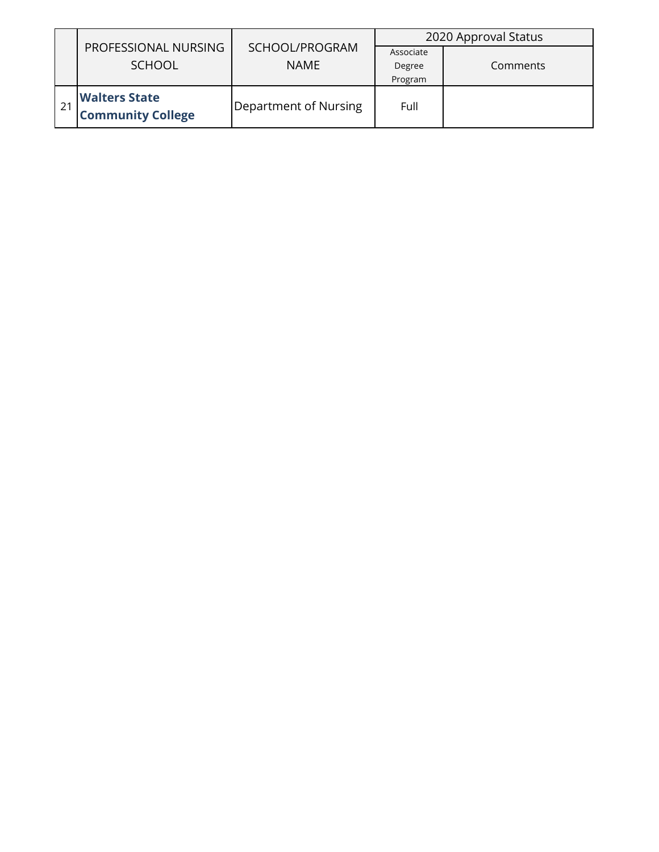|                                                  |                               | 2020 Approval Status           |          |  |  |
|--------------------------------------------------|-------------------------------|--------------------------------|----------|--|--|
| PROFESSIONAL NURSING<br><b>SCHOOL</b>            | SCHOOL/PROGRAM<br><b>NAME</b> | Associate<br>Degree<br>Program | Comments |  |  |
| <b>Walters State</b><br><b>Community College</b> | Department of Nursing         | Full                           |          |  |  |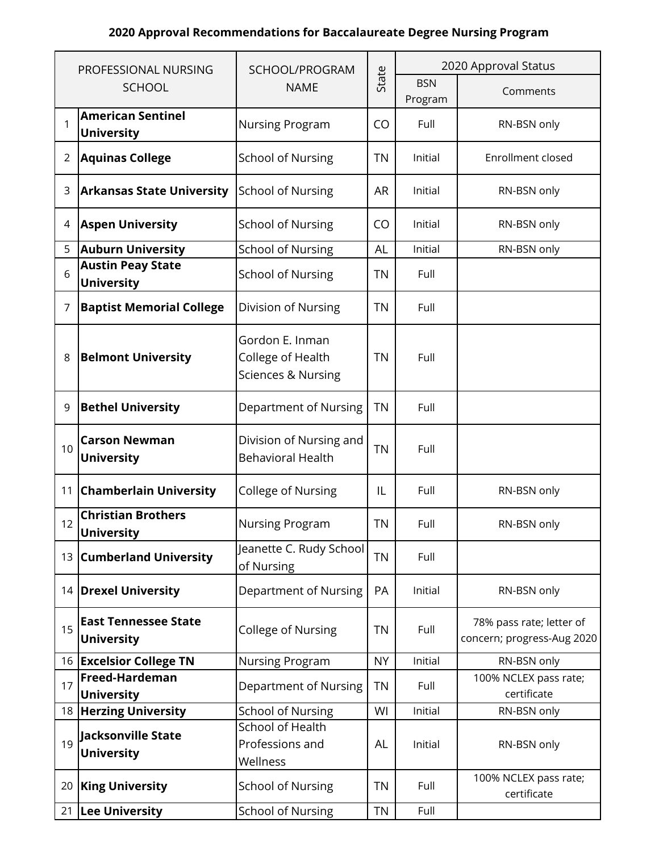## **2020 Approval Recommendations for Baccalaureate Degree Nursing Program**

|                | PROFESSIONAL NURSING                             | SCHOOL/PROGRAM                                                        |           | 2020 Approval Status  |                                                        |
|----------------|--------------------------------------------------|-----------------------------------------------------------------------|-----------|-----------------------|--------------------------------------------------------|
|                | <b>SCHOOL</b>                                    | <b>NAME</b>                                                           | State     | <b>BSN</b><br>Program | Comments                                               |
| 1              | <b>American Sentinel</b><br><b>University</b>    | <b>Nursing Program</b>                                                | CO        | Full                  | RN-BSN only                                            |
| $\overline{2}$ | <b>Aquinas College</b>                           | <b>School of Nursing</b>                                              | <b>TN</b> | Initial               | Enrollment closed                                      |
| 3              | <b>Arkansas State University</b>                 | <b>School of Nursing</b>                                              | <b>AR</b> | Initial               | RN-BSN only                                            |
| 4              | <b>Aspen University</b>                          | <b>School of Nursing</b>                                              | CO        | Initial               | RN-BSN only                                            |
| 5              | <b>Auburn University</b>                         | <b>School of Nursing</b>                                              | <b>AL</b> | Initial               | RN-BSN only                                            |
| 6              | <b>Austin Peay State</b><br><b>University</b>    | <b>School of Nursing</b>                                              | <b>TN</b> | Full                  |                                                        |
| 7              | <b>Baptist Memorial College</b>                  | Division of Nursing                                                   | <b>TN</b> | Full                  |                                                        |
| 8              | <b>Belmont University</b>                        | Gordon E. Inman<br>College of Health<br><b>Sciences &amp; Nursing</b> | <b>TN</b> | Full                  |                                                        |
| 9              | <b>Bethel University</b>                         | <b>Department of Nursing</b>                                          | <b>TN</b> | Full                  |                                                        |
| 10             | <b>Carson Newman</b><br><b>University</b>        | Division of Nursing and<br><b>Behavioral Health</b>                   | <b>TN</b> | Full                  |                                                        |
| 11             | <b>Chamberlain University</b>                    | <b>College of Nursing</b>                                             | IL        | Full                  | RN-BSN only                                            |
| 12             | <b>Christian Brothers</b><br><b>University</b>   | <b>Nursing Program</b>                                                | <b>TN</b> | Full                  | RN-BSN only                                            |
|                | 13 Cumberland University                         | Jeanette C. Rudy School<br>of Nursing                                 | <b>TN</b> | Full                  |                                                        |
|                | 14 Drexel University                             | Department of Nursing                                                 | PA        | Initial               | RN-BSN only                                            |
| 15             | <b>East Tennessee State</b><br><b>University</b> | <b>College of Nursing</b>                                             | <b>TN</b> | Full                  | 78% pass rate; letter of<br>concern; progress-Aug 2020 |
|                | 16 Excelsior College TN                          | Nursing Program                                                       | <b>NY</b> | Initial               | RN-BSN only                                            |
| 17             | Freed-Hardeman<br><b>University</b>              | Department of Nursing                                                 | <b>TN</b> | Full                  | 100% NCLEX pass rate;<br>certificate                   |
|                | 18 Herzing University                            | <b>School of Nursing</b>                                              | WI        | Initial               | RN-BSN only                                            |
| 19             | Jacksonville State<br><b>University</b>          | <b>School of Health</b><br>Professions and<br>Wellness                | AL        | Initial               | RN-BSN only                                            |
| 20             | <b>King University</b>                           | <b>School of Nursing</b>                                              | <b>TN</b> | Full                  | 100% NCLEX pass rate;<br>certificate                   |
|                | 21 Lee University                                | <b>School of Nursing</b>                                              | <b>TN</b> | Full                  |                                                        |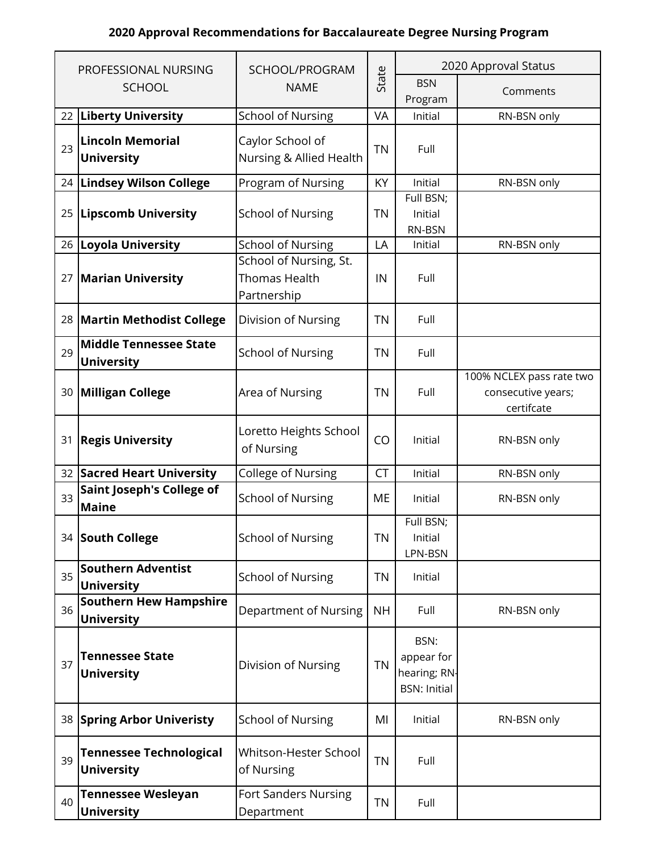## **2020 Approval Recommendations for Baccalaureate Degree Nursing Program**

|    | PROFESSIONAL NURSING                                | SCHOOL/PROGRAM                                                |           | 2020 Approval Status                                      |                                                              |
|----|-----------------------------------------------------|---------------------------------------------------------------|-----------|-----------------------------------------------------------|--------------------------------------------------------------|
|    | <b>SCHOOL</b>                                       | <b>NAME</b>                                                   | State     | <b>BSN</b><br>Program                                     | Comments                                                     |
| 22 | <b>Liberty University</b>                           | <b>School of Nursing</b>                                      | VA        | Initial                                                   | RN-BSN only                                                  |
| 23 | <b>Lincoln Memorial</b><br><b>University</b>        | Caylor School of<br>Nursing & Allied Health                   | <b>TN</b> | Full                                                      |                                                              |
|    | 24 Lindsey Wilson College                           | Program of Nursing                                            | KY        | Initial                                                   | RN-BSN only                                                  |
| 25 | <b>Lipscomb University</b>                          | <b>School of Nursing</b>                                      | <b>TN</b> | Full BSN;<br>Initial<br>RN-BSN                            |                                                              |
| 26 | <b>Loyola University</b>                            | <b>School of Nursing</b>                                      | LA        | Initial                                                   | RN-BSN only                                                  |
| 27 | <b>Marian University</b>                            | School of Nursing, St.<br><b>Thomas Health</b><br>Partnership | IN        | Full                                                      |                                                              |
|    | 28 Martin Methodist College                         | Division of Nursing                                           | <b>TN</b> | Full                                                      |                                                              |
| 29 | <b>Middle Tennessee State</b><br><b>University</b>  | <b>School of Nursing</b>                                      | <b>TN</b> | Full                                                      |                                                              |
| 30 | Milligan College                                    | Area of Nursing                                               | <b>TN</b> | Full                                                      | 100% NCLEX pass rate two<br>consecutive years;<br>certifcate |
| 31 | <b>Regis University</b>                             | Loretto Heights School<br>of Nursing                          | CO        | Initial                                                   | RN-BSN only                                                  |
|    | 32 Sacred Heart University                          | College of Nursing                                            | <b>CT</b> | Initial                                                   | RN-BSN only                                                  |
| 33 | <b>Saint Joseph's College of</b><br><b>Maine</b>    | <b>School of Nursing</b>                                      | ME        | Initial                                                   | RN-BSN only                                                  |
|    | 34 South College                                    | <b>School of Nursing</b>                                      | TN        | Full BSN;<br>Initial<br>LPN-BSN                           |                                                              |
| 35 | <b>Southern Adventist</b><br><b>University</b>      | <b>School of Nursing</b>                                      | <b>TN</b> | Initial                                                   |                                                              |
| 36 | <b>Southern Hew Hampshire</b><br><b>University</b>  | Department of Nursing                                         | <b>NH</b> | Full                                                      | RN-BSN only                                                  |
| 37 | <b>Tennessee State</b><br><b>University</b>         | Division of Nursing                                           | <b>TN</b> | BSN:<br>appear for<br>hearing; RN-<br><b>BSN: Initial</b> |                                                              |
|    | 38 Spring Arbor Univeristy                          | <b>School of Nursing</b>                                      | MI        | Initial                                                   | RN-BSN only                                                  |
| 39 | <b>Tennessee Technological</b><br><b>University</b> | Whitson-Hester School<br>of Nursing                           | <b>TN</b> | Full                                                      |                                                              |
| 40 | <b>Tennessee Wesleyan</b><br><b>University</b>      | <b>Fort Sanders Nursing</b><br>Department                     | <b>TN</b> | Full                                                      |                                                              |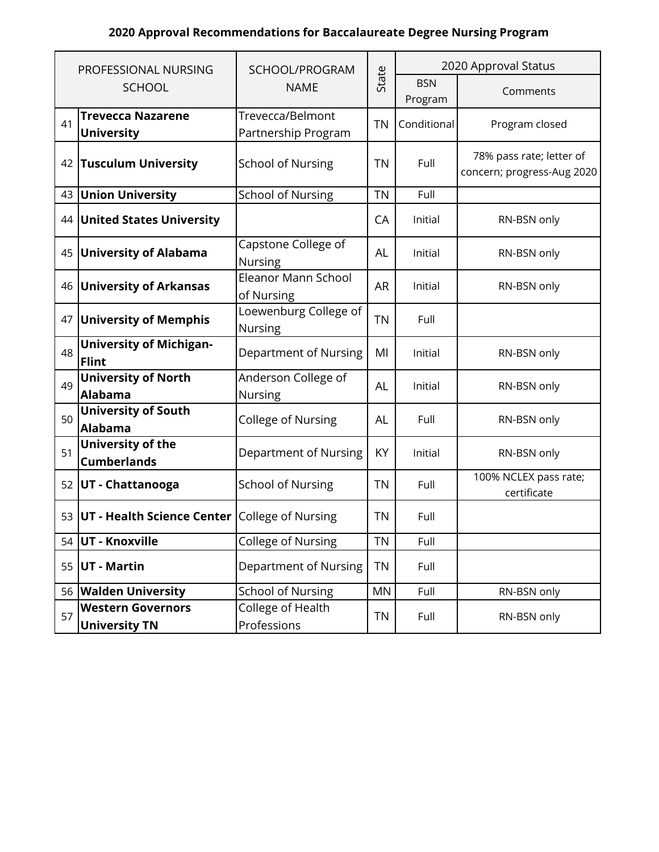## **2020 Approval Recommendations for Baccalaureate Degree Nursing Program**

|    | PROFESSIONAL NURSING                                    | SCHOOL/PROGRAM                          |           | 2020 Approval Status  |                                                        |  |
|----|---------------------------------------------------------|-----------------------------------------|-----------|-----------------------|--------------------------------------------------------|--|
|    | <b>SCHOOL</b>                                           | <b>NAME</b>                             | State     | <b>BSN</b><br>Program | Comments                                               |  |
| 41 | <b>Trevecca Nazarene</b><br><b>University</b>           | Trevecca/Belmont<br>Partnership Program | <b>TN</b> | Conditional           | Program closed                                         |  |
|    | 42 Tusculum University                                  | <b>School of Nursing</b>                | <b>TN</b> | Full                  | 78% pass rate; letter of<br>concern; progress-Aug 2020 |  |
| 43 | <b>Union University</b>                                 | <b>School of Nursing</b>                | <b>TN</b> | Full                  |                                                        |  |
|    | 44 United States University                             |                                         | CA        | Initial               | RN-BSN only                                            |  |
|    | 45 University of Alabama                                | Capstone College of<br><b>Nursing</b>   | AL        | Initial               | RN-BSN only                                            |  |
| 46 | <b>University of Arkansas</b>                           | Eleanor Mann School<br>of Nursing       | <b>AR</b> | Initial               | RN-BSN only                                            |  |
|    | 47 University of Memphis                                | Loewenburg College of<br>Nursing        | <b>TN</b> | Full                  |                                                        |  |
| 48 | <b>University of Michigan-</b><br><b>Flint</b>          | Department of Nursing                   | MI        | Initial               | RN-BSN only                                            |  |
| 49 | <b>University of North</b><br><b>Alabama</b>            | Anderson College of<br><b>Nursing</b>   | <b>AL</b> | Initial               | RN-BSN only                                            |  |
| 50 | <b>University of South</b><br><b>Alabama</b>            | <b>College of Nursing</b>               | <b>AL</b> | Full                  | RN-BSN only                                            |  |
| 51 | University of the<br><b>Cumberlands</b>                 | Department of Nursing                   | KY        | Initial               | RN-BSN only                                            |  |
|    | 52 UT - Chattanooga                                     | <b>School of Nursing</b>                | <b>TN</b> | Full                  | 100% NCLEX pass rate;<br>certificate                   |  |
|    | 53 <b>UT - Health Science Center</b> College of Nursing |                                         | <b>TN</b> | Full                  |                                                        |  |
|    | 54 UT - Knoxville                                       | <b>College of Nursing</b>               | <b>TN</b> | Full                  |                                                        |  |
| 55 | <b>UT - Martin</b>                                      | Department of Nursing                   | <b>TN</b> | Full                  |                                                        |  |
|    | 56 Walden University                                    | <b>School of Nursing</b>                | <b>MN</b> | Full                  | RN-BSN only                                            |  |
| 57 | <b>Western Governors</b><br><b>University TN</b>        | College of Health<br>Professions        | <b>TN</b> | Full                  | RN-BSN only                                            |  |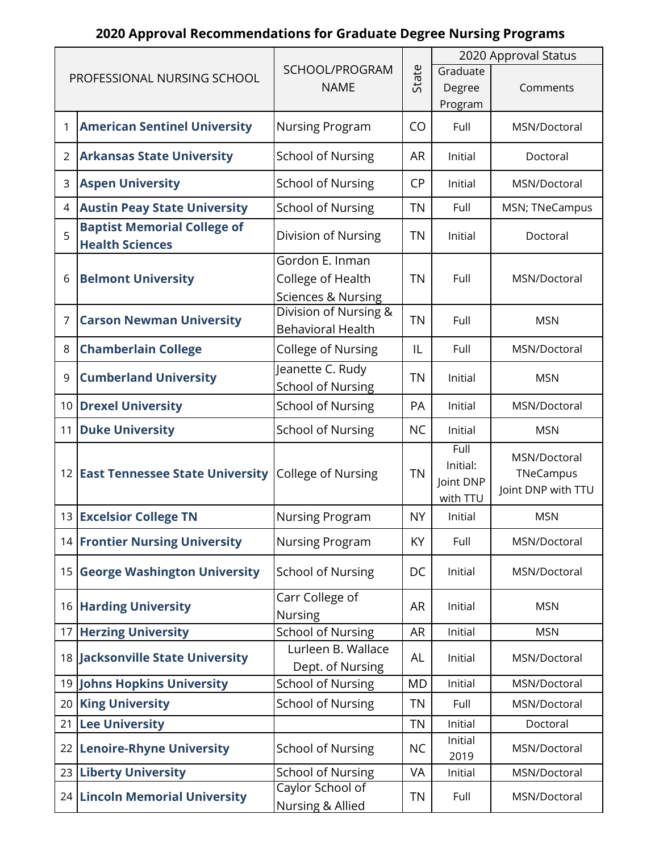# **2020 Approval Recommendations for Graduate Degree Nursing Programs**

|    |                                                              |                                                   |           | 2020 Approval Status  |                    |  |  |
|----|--------------------------------------------------------------|---------------------------------------------------|-----------|-----------------------|--------------------|--|--|
|    | PROFESSIONAL NURSING SCHOOL                                  | SCHOOL/PROGRAM                                    | State     | Graduate              |                    |  |  |
|    |                                                              | <b>NAME</b>                                       |           | Degree                | Comments           |  |  |
|    |                                                              |                                                   |           | Program               |                    |  |  |
|    | <b>American Sentinel University</b>                          | <b>Nursing Program</b>                            | CO        | Full                  | MSN/Doctoral       |  |  |
| 2  | <b>Arkansas State University</b>                             | <b>School of Nursing</b>                          | <b>AR</b> | Initial               | Doctoral           |  |  |
| 3  | <b>Aspen University</b>                                      | <b>School of Nursing</b>                          | <b>CP</b> | Initial               | MSN/Doctoral       |  |  |
| 4  | <b>Austin Peay State University</b>                          | <b>School of Nursing</b>                          | <b>TN</b> | Full                  | MSN; TNeCampus     |  |  |
| 5  | <b>Baptist Memorial College of</b><br><b>Health Sciences</b> | Division of Nursing                               | <b>TN</b> | Initial               | Doctoral           |  |  |
|    |                                                              | Gordon E. Inman                                   |           |                       |                    |  |  |
| 6  | <b>Belmont University</b>                                    | College of Health                                 | <b>TN</b> | Full                  | MSN/Doctoral       |  |  |
|    |                                                              | <b>Sciences &amp; Nursing</b>                     |           |                       |                    |  |  |
| 7  | <b>Carson Newman University</b>                              | Division of Nursing &<br><b>Behavioral Health</b> | <b>TN</b> | Full                  | <b>MSN</b>         |  |  |
| 8  | <b>Chamberlain College</b>                                   | College of Nursing                                | IL        | Full                  | MSN/Doctoral       |  |  |
| 9  | <b>Cumberland University</b>                                 | Jeanette C. Rudy                                  | <b>TN</b> | Initial               | <b>MSN</b>         |  |  |
|    |                                                              | <b>School of Nursing</b>                          |           |                       |                    |  |  |
|    | 10 Drexel University                                         | <b>School of Nursing</b>                          | PA        | Initial               | MSN/Doctoral       |  |  |
| 11 | <b>Duke University</b>                                       | <b>School of Nursing</b>                          | <b>NC</b> | Initial               | <b>MSN</b>         |  |  |
|    |                                                              |                                                   |           | Full                  | MSN/Doctoral       |  |  |
|    | 12 East Tennessee State University                           | <b>College of Nursing</b>                         | <b>TN</b> | Initial:<br>Joint DNP | TNeCampus          |  |  |
|    |                                                              |                                                   |           | with TTU              | Joint DNP with TTU |  |  |
|    | 13 Excelsior College TN                                      | Nursing Program                                   | <b>NY</b> | Initial               | <b>MSN</b>         |  |  |
|    | <b>14 Frontier Nursing University</b>                        | <b>Nursing Program</b>                            | KY        | Full                  | MSN/Doctoral       |  |  |
|    | 15 George Washington University                              | <b>School of Nursing</b>                          | DC        | Initial               | MSN/Doctoral       |  |  |
|    | 16 Harding University                                        | Carr College of<br><b>Nursing</b>                 | <b>AR</b> | Initial               | <b>MSN</b>         |  |  |
|    | 17 Herzing University                                        | <b>School of Nursing</b>                          | <b>AR</b> | Initial               | <b>MSN</b>         |  |  |
|    | 18 Jacksonville State University                             | Lurleen B. Wallace                                | <b>AL</b> | Initial               | MSN/Doctoral       |  |  |
|    |                                                              | Dept. of Nursing                                  | <b>MD</b> | Initial               | MSN/Doctoral       |  |  |
| 19 | Johns Hopkins University                                     | <b>School of Nursing</b>                          |           |                       |                    |  |  |
| 20 | <b>King University</b>                                       | <b>School of Nursing</b>                          | <b>TN</b> | Full                  | MSN/Doctoral       |  |  |
| 21 | <b>Lee University</b>                                        |                                                   | <b>TN</b> | Initial<br>Initial    | Doctoral           |  |  |
|    | 22 Lenoire-Rhyne University                                  | <b>School of Nursing</b>                          | <b>NC</b> | 2019                  | MSN/Doctoral       |  |  |
|    | 23 Liberty University                                        | <b>School of Nursing</b>                          | VA        | Initial               | MSN/Doctoral       |  |  |
|    | 24 Lincoln Memorial University                               | Caylor School of                                  | <b>TN</b> | Full                  | MSN/Doctoral       |  |  |
|    |                                                              | Nursing & Allied                                  |           |                       |                    |  |  |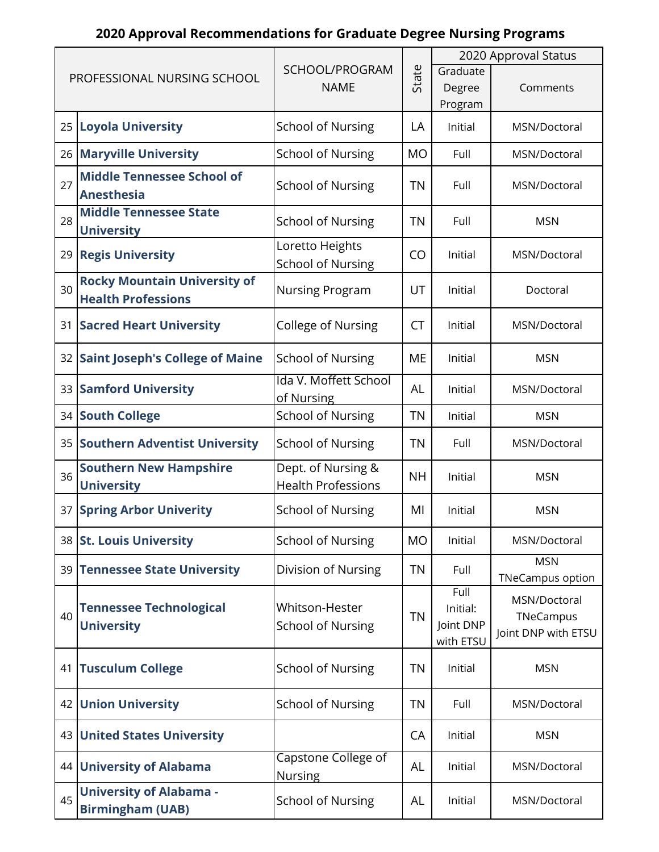# **2020 Approval Recommendations for Graduate Degree Nursing Programs**

|    |                                                                  |                                                 |                   | 2020 Approval Status                       |                                                  |  |  |
|----|------------------------------------------------------------------|-------------------------------------------------|-------------------|--------------------------------------------|--------------------------------------------------|--|--|
|    | PROFESSIONAL NURSING SCHOOL                                      | SCHOOL/PROGRAM<br><b>NAME</b>                   | State             | Graduate<br>Degree<br>Program              | Comments                                         |  |  |
|    | 25 Loyola University                                             | <b>School of Nursing</b>                        | LA                | Initial                                    | MSN/Doctoral                                     |  |  |
|    | 26 Maryville University                                          | <b>School of Nursing</b>                        | <b>MO</b>         | Full                                       | MSN/Doctoral                                     |  |  |
| 27 | <b>Middle Tennessee School of</b><br><b>Anesthesia</b>           | <b>School of Nursing</b>                        | <b>TN</b><br>Full |                                            | MSN/Doctoral                                     |  |  |
| 28 | <b>Middle Tennessee State</b><br><b>University</b>               | <b>School of Nursing</b>                        | <b>TN</b>         | Full                                       | <b>MSN</b>                                       |  |  |
|    | 29 Regis University                                              | Loretto Heights<br><b>School of Nursing</b>     | CO                | Initial                                    | MSN/Doctoral                                     |  |  |
| 30 | <b>Rocky Mountain University of</b><br><b>Health Professions</b> | <b>Nursing Program</b>                          | UT                | Initial                                    | Doctoral                                         |  |  |
| 31 | <b>Sacred Heart University</b>                                   | College of Nursing                              | <b>CT</b>         | Initial                                    | MSN/Doctoral                                     |  |  |
|    | 32 Saint Joseph's College of Maine                               | <b>School of Nursing</b>                        | <b>ME</b>         | Initial                                    | <b>MSN</b>                                       |  |  |
| 33 | <b>Samford University</b>                                        | Ida V. Moffett School<br>of Nursing             | <b>AL</b>         | Initial                                    | MSN/Doctoral                                     |  |  |
|    | 34 South College                                                 | <b>School of Nursing</b>                        | <b>TN</b>         | Initial                                    | <b>MSN</b>                                       |  |  |
|    | 35 Southern Adventist University                                 | <b>School of Nursing</b>                        | <b>TN</b>         | Full                                       | MSN/Doctoral                                     |  |  |
| 36 | <b>Southern New Hampshire</b><br><b>University</b>               | Dept. of Nursing &<br><b>Health Professions</b> | <b>NH</b>         | Initial                                    | <b>MSN</b>                                       |  |  |
|    | 37 Spring Arbor Univerity                                        | <b>School of Nursing</b>                        | MI                | Initial                                    | <b>MSN</b>                                       |  |  |
|    | 38 St. Louis University                                          | <b>School of Nursing</b>                        | <b>MO</b>         | Initial                                    | MSN/Doctoral                                     |  |  |
|    | 39 Tennessee State University                                    | Division of Nursing                             | <b>TN</b>         | Full                                       | <b>MSN</b><br><b>TNeCampus option</b>            |  |  |
| 40 | <b>Tennessee Technological</b><br><b>University</b>              | Whitson-Hester<br><b>School of Nursing</b>      | <b>TN</b>         | Full<br>Initial:<br>Joint DNP<br>with ETSU | MSN/Doctoral<br>TNeCampus<br>Joint DNP with ETSU |  |  |
| 41 | <b>Tusculum College</b>                                          | <b>School of Nursing</b>                        | <b>TN</b>         | Initial                                    | <b>MSN</b>                                       |  |  |
|    | 42 Union University                                              | <b>School of Nursing</b>                        | <b>TN</b>         | Full                                       | MSN/Doctoral                                     |  |  |
|    | 43 United States University                                      |                                                 | CA                | Initial                                    | <b>MSN</b>                                       |  |  |
|    | 44 University of Alabama                                         | Capstone College of<br><b>Nursing</b>           | AL                | Initial                                    | MSN/Doctoral                                     |  |  |
| 45 | <b>University of Alabama -</b><br><b>Birmingham (UAB)</b>        | <b>School of Nursing</b>                        | <b>AL</b>         | Initial                                    | MSN/Doctoral                                     |  |  |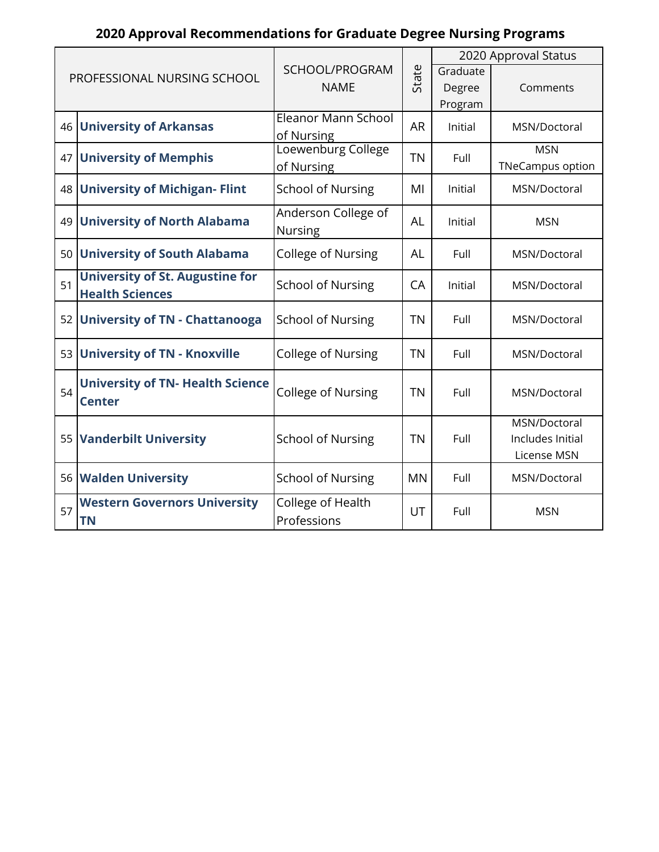# **2020 Approval Recommendations for Graduate Degree Nursing Programs**

|    |                                         |                           |           | 2020 Approval Status |                         |  |  |
|----|-----------------------------------------|---------------------------|-----------|----------------------|-------------------------|--|--|
|    | PROFESSIONAL NURSING SCHOOL             | SCHOOL/PROGRAM            | State     | Graduate             |                         |  |  |
|    |                                         | <b>NAME</b>               |           | Degree               | Comments                |  |  |
|    |                                         |                           |           | Program              |                         |  |  |
|    | 46 University of Arkansas               | Eleanor Mann School       | <b>AR</b> | Initial              | MSN/Doctoral            |  |  |
|    |                                         | of Nursing                |           |                      |                         |  |  |
|    | 47 University of Memphis                | Loewenburg College        | <b>TN</b> | Full                 | <b>MSN</b>              |  |  |
|    |                                         | of Nursing                |           |                      | <b>TNeCampus option</b> |  |  |
|    | 48 University of Michigan- Flint        | <b>School of Nursing</b>  | MI        | Initial              | MSN/Doctoral            |  |  |
|    |                                         | Anderson College of       |           |                      |                         |  |  |
|    | 49 University of North Alabama          |                           | <b>AL</b> | Initial              | <b>MSN</b>              |  |  |
|    |                                         | Nursing                   |           |                      |                         |  |  |
|    | 50 University of South Alabama          | College of Nursing        | <b>AL</b> | Full                 | MSN/Doctoral            |  |  |
| 51 | <b>University of St. Augustine for</b>  |                           |           |                      |                         |  |  |
|    | <b>Health Sciences</b>                  | <b>School of Nursing</b>  | CA        | Initial              | MSN/Doctoral            |  |  |
|    |                                         |                           |           |                      |                         |  |  |
|    | 52 University of TN - Chattanooga       | <b>School of Nursing</b>  | <b>TN</b> | Full                 | MSN/Doctoral            |  |  |
|    | 53 University of TN - Knoxville         | College of Nursing        | <b>TN</b> | Full                 | MSN/Doctoral            |  |  |
|    |                                         |                           |           |                      |                         |  |  |
|    | <b>University of TN- Health Science</b> |                           |           |                      |                         |  |  |
| 54 | <b>Center</b>                           | <b>College of Nursing</b> | <b>TN</b> | Full                 | MSN/Doctoral            |  |  |
|    |                                         |                           |           |                      | MSN/Doctoral            |  |  |
|    |                                         |                           | <b>TN</b> | Full                 | Includes Initial        |  |  |
|    | 55 Vanderbilt University                | <b>School of Nursing</b>  |           |                      |                         |  |  |
|    |                                         |                           |           |                      | License MSN             |  |  |
|    | 56 Walden University                    | <b>School of Nursing</b>  | <b>MN</b> | Full                 | MSN/Doctoral            |  |  |
|    | <b>Western Governors University</b>     | College of Health         |           |                      |                         |  |  |
| 57 | <b>TN</b>                               | Professions               | UT        | Full                 | <b>MSN</b>              |  |  |
|    |                                         |                           |           |                      |                         |  |  |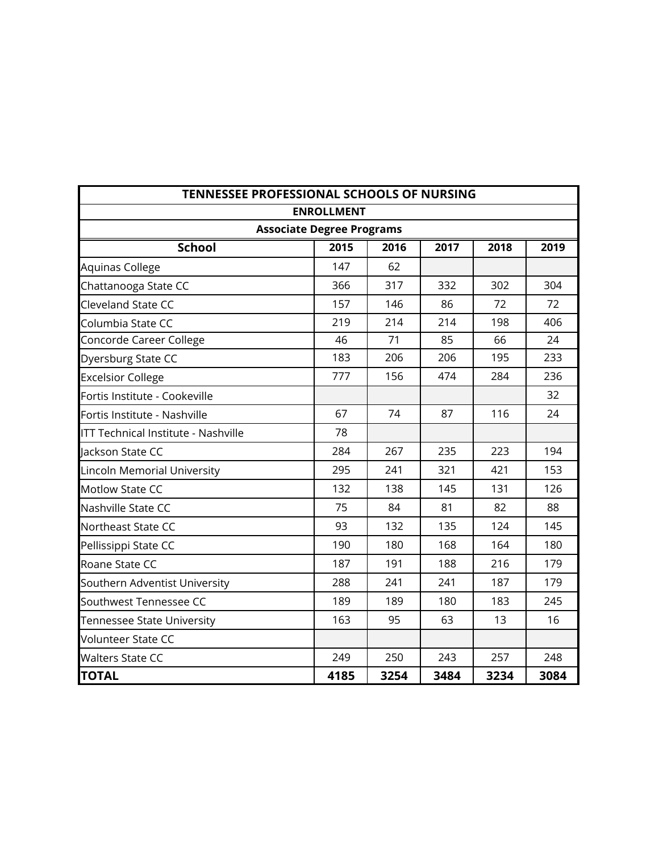| <b>TENNESSEE PROFESSIONAL SCHOOLS OF NURSING</b> |                   |      |      |      |      |  |  |  |  |
|--------------------------------------------------|-------------------|------|------|------|------|--|--|--|--|
|                                                  | <b>ENROLLMENT</b> |      |      |      |      |  |  |  |  |
| <b>Associate Degree Programs</b>                 |                   |      |      |      |      |  |  |  |  |
| <b>School</b>                                    | 2015              | 2016 | 2017 | 2018 | 2019 |  |  |  |  |
| <b>Aquinas College</b>                           | 147               | 62   |      |      |      |  |  |  |  |
| Chattanooga State CC                             | 366               | 317  | 332  | 302  | 304  |  |  |  |  |
| Cleveland State CC                               | 157               | 146  | 86   | 72   | 72   |  |  |  |  |
| Columbia State CC                                | 219               | 214  | 214  | 198  | 406  |  |  |  |  |
| Concorde Career College                          | 46                | 71   | 85   | 66   | 24   |  |  |  |  |
| Dyersburg State CC                               | 183               | 206  | 206  | 195  | 233  |  |  |  |  |
| <b>Excelsior College</b>                         | 777               | 156  | 474  | 284  | 236  |  |  |  |  |
| Fortis Institute - Cookeville                    |                   |      |      |      | 32   |  |  |  |  |
| Fortis Institute - Nashville                     | 67                | 74   | 87   | 116  | 24   |  |  |  |  |
| <b>ITT Technical Institute - Nashville</b>       | 78                |      |      |      |      |  |  |  |  |
| Jackson State CC                                 | 284               | 267  | 235  | 223  | 194  |  |  |  |  |
| <b>Lincoln Memorial University</b>               | 295               | 241  | 321  | 421  | 153  |  |  |  |  |
| <b>Motlow State CC</b>                           | 132               | 138  | 145  | 131  | 126  |  |  |  |  |
| Nashville State CC                               | 75                | 84   | 81   | 82   | 88   |  |  |  |  |
| Northeast State CC                               | 93                | 132  | 135  | 124  | 145  |  |  |  |  |
| Pellissippi State CC                             | 190               | 180  | 168  | 164  | 180  |  |  |  |  |
| Roane State CC                                   | 187               | 191  | 188  | 216  | 179  |  |  |  |  |
| Southern Adventist University                    | 288               | 241  | 241  | 187  | 179  |  |  |  |  |
| Southwest Tennessee CC                           | 189               | 189  | 180  | 183  | 245  |  |  |  |  |
| <b>Tennessee State University</b>                | 163               | 95   | 63   | 13   | 16   |  |  |  |  |
| <b>Volunteer State CC</b>                        |                   |      |      |      |      |  |  |  |  |
| <b>Walters State CC</b>                          | 249               | 250  | 243  | 257  | 248  |  |  |  |  |
| <b>TOTAL</b>                                     | 4185              | 3254 | 3484 | 3234 | 3084 |  |  |  |  |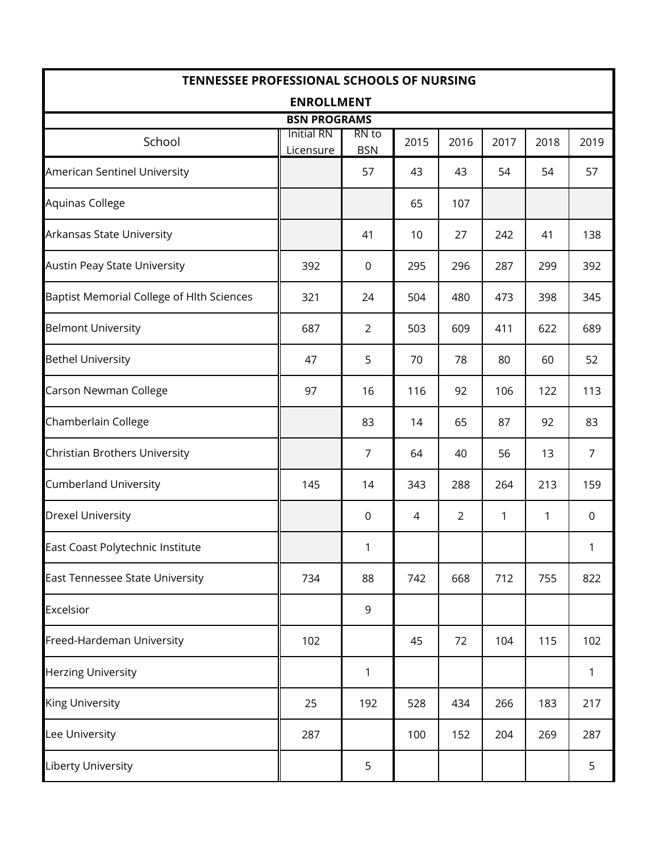| <b>TENNESSEE PROFESSIONAL SCHOOLS OF NURSING</b> |                                |                     |      |      |      |      |                |  |
|--------------------------------------------------|--------------------------------|---------------------|------|------|------|------|----------------|--|
|                                                  | <b>ENROLLMENT</b>              |                     |      |      |      |      |                |  |
|                                                  | <b>BSN PROGRAMS</b>            |                     |      |      |      |      |                |  |
| School                                           | <b>Initial RN</b><br>Licensure | RN to<br><b>BSN</b> | 2015 | 2016 | 2017 | 2018 | 2019           |  |
| American Sentinel University                     |                                | 57                  | 43   | 43   | 54   | 54   | 57             |  |
| Aquinas College                                  |                                |                     | 65   | 107  |      |      |                |  |
| Arkansas State University                        |                                | 41                  | 10   | 27   | 242  | 41   | 138            |  |
| <b>Austin Peay State University</b>              | 392                            | $\overline{0}$      | 295  | 296  | 287  | 299  | 392            |  |
| Baptist Memorial College of Hlth Sciences        | 321                            | 24                  | 504  | 480  | 473  | 398  | 345            |  |
| <b>Belmont University</b>                        | 687                            | $\overline{2}$      | 503  | 609  | 411  | 622  | 689            |  |
| <b>Bethel University</b>                         | 47                             | 5                   | 70   | 78   | 80   | 60   | 52             |  |
| Carson Newman College                            | 97                             | 16                  | 116  | 92   | 106  | 122  | 113            |  |
| Chamberlain College                              |                                | 83                  | 14   | 65   | 87   | 92   | 83             |  |
| Christian Brothers University                    |                                | 7                   | 64   | 40   | 56   | 13   | $\overline{7}$ |  |
| <b>Cumberland University</b>                     | 145                            | 14                  | 343  | 288  | 264  | 213  | 159            |  |
| <b>Drexel University</b>                         |                                | $\boldsymbol{0}$    | 4    | 2    | 1    | 1    | $\mathbf 0$    |  |
| East Coast Polytechnic Institute                 |                                | 1                   |      |      |      |      | 1              |  |
| East Tennessee State University                  | 734                            | 88                  | 742  | 668  | 712  | 755  | 822            |  |
| Excelsior                                        |                                | 9                   |      |      |      |      |                |  |
| Freed-Hardeman University                        | 102                            |                     | 45   | 72   | 104  | 115  | 102            |  |
| <b>Herzing University</b>                        |                                | 1                   |      |      |      |      | $\mathbf{1}$   |  |
| <b>King University</b>                           | 25                             | 192                 | 528  | 434  | 266  | 183  | 217            |  |
| Lee University                                   | 287                            |                     | 100  | 152  | 204  | 269  | 287            |  |
| Liberty University                               |                                | 5                   |      |      |      |      | 5              |  |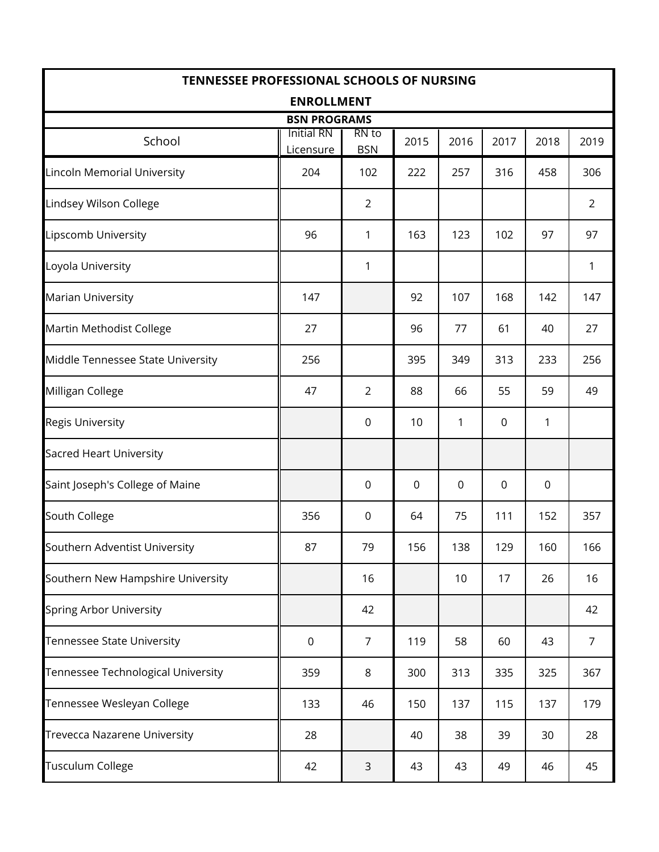| <b>TENNESSEE PROFESSIONAL SCHOOLS OF NURSING</b> |                                |                     |      |      |             |      |                |  |
|--------------------------------------------------|--------------------------------|---------------------|------|------|-------------|------|----------------|--|
|                                                  | <b>ENROLLMENT</b>              |                     |      |      |             |      |                |  |
|                                                  | <b>BSN PROGRAMS</b>            |                     |      |      |             |      |                |  |
| School                                           | <b>Initial RN</b><br>Licensure | RN to<br><b>BSN</b> | 2015 | 2016 | 2017        | 2018 | 2019           |  |
| Lincoln Memorial University                      | 204                            | 102                 | 222  | 257  | 316         | 458  | 306            |  |
| Lindsey Wilson College                           |                                | $\overline{2}$      |      |      |             |      | $\overline{2}$ |  |
| Lipscomb University                              | 96                             | 1                   | 163  | 123  | 102         | 97   | 97             |  |
| Loyola University                                |                                | 1                   |      |      |             |      | $\mathbf{1}$   |  |
| Marian University                                | 147                            |                     | 92   | 107  | 168         | 142  | 147            |  |
| Martin Methodist College                         | 27                             |                     | 96   | 77   | 61          | 40   | 27             |  |
| Middle Tennessee State University                | 256                            |                     | 395  | 349  | 313         | 233  | 256            |  |
| Milligan College                                 | 47                             | $\overline{2}$      | 88   | 66   | 55          | 59   | 49             |  |
| <b>Regis University</b>                          |                                | 0                   | 10   | 1    | $\mathbf 0$ | 1    |                |  |
| <b>Sacred Heart University</b>                   |                                |                     |      |      |             |      |                |  |
| Saint Joseph's College of Maine                  |                                | 0                   | 0    | 0    | 0           | 0    |                |  |
| South College                                    | 356                            | 0                   | 64   | 75   | 111         | 152  | 357            |  |
| Southern Adventist University                    | 87                             | 79                  | 156  | 138  | 129         | 160  | 166            |  |
| Southern New Hampshire University                |                                | 16                  |      | 10   | 17          | 26   | 16             |  |
| <b>Spring Arbor University</b>                   |                                | 42                  |      |      |             |      | 42             |  |
| Tennessee State University                       | $\pmb{0}$                      | $\overline{7}$      | 119  | 58   | 60          | 43   | $\overline{7}$ |  |
| Tennessee Technological University               | 359                            | 8                   | 300  | 313  | 335         | 325  | 367            |  |
| Tennessee Wesleyan College                       | 133                            | 46                  | 150  | 137  | 115         | 137  | 179            |  |
| <b>Trevecca Nazarene University</b>              | 28                             |                     | 40   | 38   | 39          | 30   | 28             |  |
| <b>Tusculum College</b>                          | 42                             | $\mathsf 3$         | 43   | 43   | 49          | 46   | 45             |  |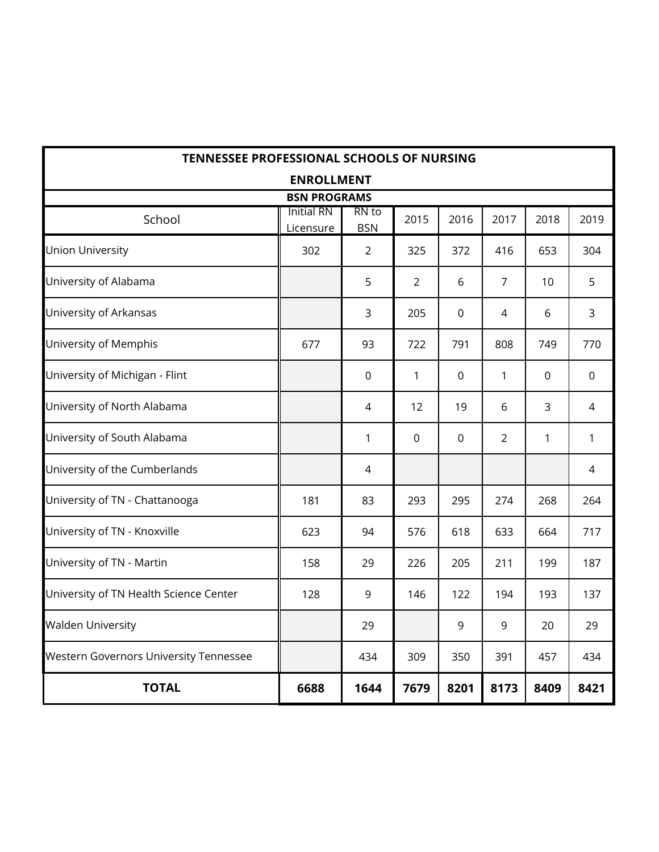| TENNESSEE PROFESSIONAL SCHOOLS OF NURSING |                                |                     |                |             |                |              |              |  |  |  |
|-------------------------------------------|--------------------------------|---------------------|----------------|-------------|----------------|--------------|--------------|--|--|--|
|                                           | <b>ENROLLMENT</b>              |                     |                |             |                |              |              |  |  |  |
| <b>BSN PROGRAMS</b>                       |                                |                     |                |             |                |              |              |  |  |  |
| School                                    | <b>Initial RN</b><br>Licensure | RN to<br><b>BSN</b> | 2015           | 2016        | 2017           | 2018         | 2019         |  |  |  |
| <b>Union University</b>                   | 302                            | $\overline{2}$      | 325            | 372         | 416            | 653          | 304          |  |  |  |
| University of Alabama                     |                                | 5                   | $\overline{2}$ | 6           | 7              | 10           | 5            |  |  |  |
| University of Arkansas                    |                                | 3                   | 205            | 0           | 4              | 6            | 3            |  |  |  |
| University of Memphis                     | 677                            | 93                  | 722            | 791         | 808            | 749          | 770          |  |  |  |
| University of Michigan - Flint            |                                | 0                   | 1              | 0           | $\mathbf{1}$   | 0            | 0            |  |  |  |
| University of North Alabama               |                                | 4                   | 12             | 19          | 6              | 3            | 4            |  |  |  |
| University of South Alabama               |                                | $\mathbf{1}$        | $\mathbf 0$    | $\mathbf 0$ | $\overline{2}$ | $\mathbf{1}$ | $\mathbf{1}$ |  |  |  |
| University of the Cumberlands             |                                | 4                   |                |             |                |              | 4            |  |  |  |
| University of TN - Chattanooga            | 181                            | 83                  | 293            | 295         | 274            | 268          | 264          |  |  |  |
| University of TN - Knoxville              | 623                            | 94                  | 576            | 618         | 633            | 664          | 717          |  |  |  |
| University of TN - Martin                 | 158                            | 29                  | 226            | 205         | 211            | 199          | 187          |  |  |  |
| University of TN Health Science Center    | 128                            | 9                   | 146            | 122         | 194            | 193          | 137          |  |  |  |
| <b>Walden University</b>                  |                                | 29                  |                | 9           | 9              | 20           | 29           |  |  |  |
| Western Governors University Tennessee    |                                | 434                 | 309            | 350         | 391            | 457          | 434          |  |  |  |
| <b>TOTAL</b>                              | 6688                           | 1644                | 7679           | 8201        | 8173           | 8409         | 8421         |  |  |  |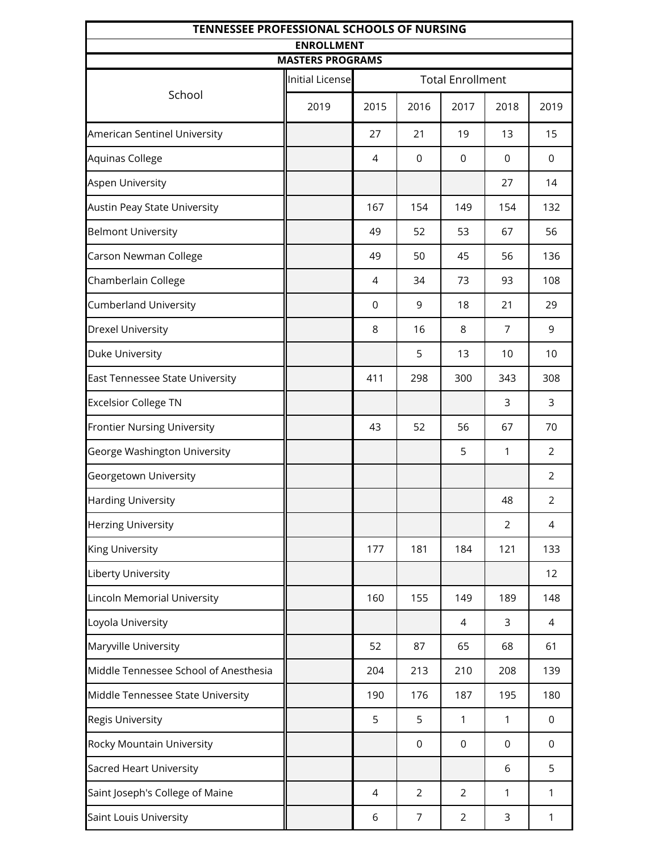| TENNESSEE PROFESSIONAL SCHOOLS OF NURSING<br><b>ENROLLMENT</b> |                         |             |                |                         |              |                |
|----------------------------------------------------------------|-------------------------|-------------|----------------|-------------------------|--------------|----------------|
|                                                                | <b>MASTERS PROGRAMS</b> |             |                |                         |              |                |
|                                                                | Initial License         |             |                | <b>Total Enrollment</b> |              |                |
| School                                                         | 2019                    | 2015        | 2016           | 2017                    | 2018         | 2019           |
| American Sentinel University                                   |                         | 27          | 21             | 19                      | 13           | 15             |
| Aquinas College                                                |                         | 4           | 0              | $\mathbf 0$             | $\mathbf 0$  | 0              |
| Aspen University                                               |                         |             |                |                         | 27           | 14             |
| Austin Peay State University                                   |                         | 167         | 154            | 149                     | 154          | 132            |
| <b>Belmont University</b>                                      |                         | 49          | 52             | 53                      | 67           | 56             |
| Carson Newman College                                          |                         | 49          | 50             | 45                      | 56           | 136            |
| Chamberlain College                                            |                         | 4           | 34             | 73                      | 93           | 108            |
| <b>Cumberland University</b>                                   |                         | $\mathbf 0$ | 9              | 18                      | 21           | 29             |
| <b>Drexel University</b>                                       |                         | 8           | 16             | 8                       | 7            | 9              |
| Duke University                                                |                         |             | 5              | 13                      | 10           | 10             |
| East Tennessee State University                                |                         | 411         | 298            | 300                     | 343          | 308            |
| <b>Excelsior College TN</b>                                    |                         |             |                |                         | 3            | 3              |
| <b>Frontier Nursing University</b>                             |                         | 43          | 52             | 56                      | 67           | 70             |
| George Washington University                                   |                         |             |                | 5                       | 1            | $\overline{2}$ |
| Georgetown University                                          |                         |             |                |                         |              | $\overline{2}$ |
| Harding University                                             |                         |             |                |                         | 48           | $\overline{2}$ |
| <b>Herzing University</b>                                      |                         |             |                |                         | 2            | 4              |
| King University                                                |                         | 177         | 181            | 184                     | 121          | 133            |
| Liberty University                                             |                         |             |                |                         |              | 12             |
| Lincoln Memorial University                                    |                         | 160         | 155            | 149                     | 189          | 148            |
| Loyola University                                              |                         |             |                | 4                       | 3            | 4              |
| Maryville University                                           |                         | 52          | 87             | 65                      | 68           | 61             |
| Middle Tennessee School of Anesthesia                          |                         | 204         | 213            | 210                     | 208          | 139            |
| Middle Tennessee State University                              |                         | 190         | 176            | 187                     | 195          | 180            |
| Regis University                                               |                         | 5           | 5              | 1                       | 1            | 0              |
| Rocky Mountain University                                      |                         |             | $\mathsf 0$    | $\mathsf 0$             | $\mathbf 0$  | 0              |
| Sacred Heart University                                        |                         |             |                |                         | 6            | 5              |
| Saint Joseph's College of Maine                                |                         | 4           | $\overline{2}$ | $\overline{2}$          | $\mathbf{1}$ | 1              |
| Saint Louis University                                         |                         | 6           | 7              | $\overline{2}$          | 3            | 1              |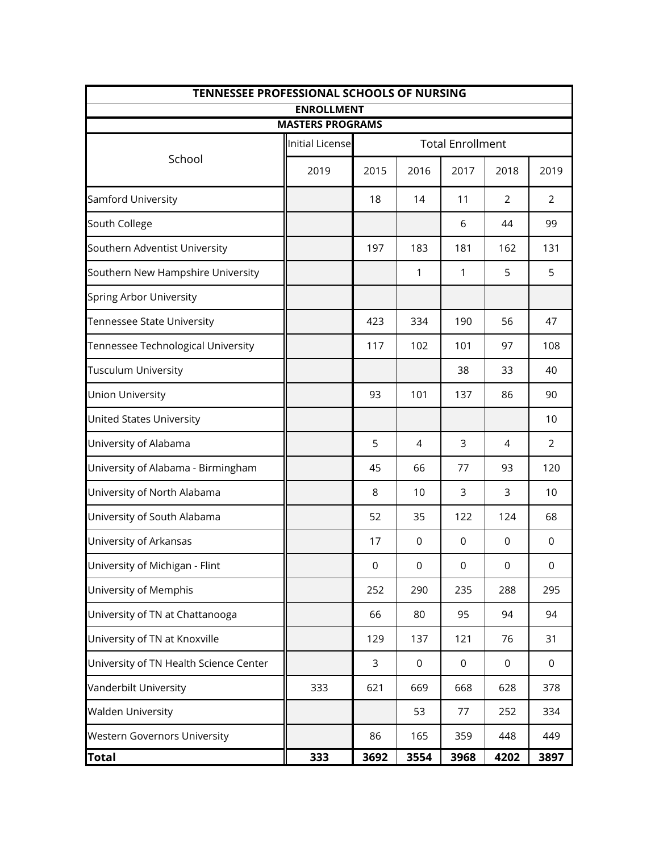| TENNESSEE PROFESSIONAL SCHOOLS OF NURSING |                                              |          |             |                         |                |                |  |
|-------------------------------------------|----------------------------------------------|----------|-------------|-------------------------|----------------|----------------|--|
|                                           | <b>ENROLLMENT</b><br><b>MASTERS PROGRAMS</b> |          |             |                         |                |                |  |
|                                           | <b>Initial License</b>                       |          |             | <b>Total Enrollment</b> |                |                |  |
| School                                    | 2019                                         | 2015     | 2016        | 2017                    | 2018           | 2019           |  |
| Samford University                        |                                              | 18       | 14          | 11                      | 2              | $\overline{2}$ |  |
| South College                             |                                              |          |             | 6                       | 44             | 99             |  |
| Southern Adventist University             |                                              | 197      | 183         | 181                     | 162            | 131            |  |
| Southern New Hampshire University         |                                              |          | 1           | 1                       | 5              | 5              |  |
| Spring Arbor University                   |                                              |          |             |                         |                |                |  |
| Tennessee State University                |                                              | 423      | 334         | 190                     | 56             | 47             |  |
| Tennessee Technological University        |                                              | 117      | 102         | 101                     | 97             | 108            |  |
| Tusculum University                       |                                              |          |             | 38                      | 33             | 40             |  |
| <b>Union University</b>                   |                                              | 93       | 101         | 137                     | 86             | 90             |  |
| <b>United States University</b>           |                                              |          |             |                         |                | 10             |  |
| University of Alabama                     |                                              | 5        | 4           | 3                       | $\overline{4}$ | $\overline{2}$ |  |
| University of Alabama - Birmingham        |                                              | 45       | 66          | 77                      | 93             | 120            |  |
| University of North Alabama               |                                              | 8        | 10          | 3                       | 3              | 10             |  |
| University of South Alabama               |                                              | 52       | 35          | 122                     | 124            | 68             |  |
| University of Arkansas                    |                                              | 17       | 0           | 0                       | 0              | 0              |  |
| University of Michigan - Flint            |                                              | $\Omega$ | 0           | 0                       | 0              | $\Omega$       |  |
| University of Memphis                     |                                              | 252      | 290         | 235                     | 288            | 295            |  |
| University of TN at Chattanooga           |                                              | 66       | 80          | 95                      | 94             | 94             |  |
| University of TN at Knoxville             |                                              | 129      | 137         | 121                     | 76             | 31             |  |
| University of TN Health Science Center    |                                              | 3        | $\mathsf 0$ | $\mathsf 0$             | $\mathsf 0$    | $\mathbf 0$    |  |
| Vanderbilt University                     | 333                                          | 621      | 669         | 668                     | 628            | 378            |  |
| <b>Walden University</b>                  |                                              |          | 53          | 77                      | 252            | 334            |  |
| <b>Western Governors University</b>       |                                              | 86       | 165         | 359                     | 448            | 449            |  |
| <b>Total</b>                              | 333                                          | 3692     | 3554        | 3968                    | 4202           | 3897           |  |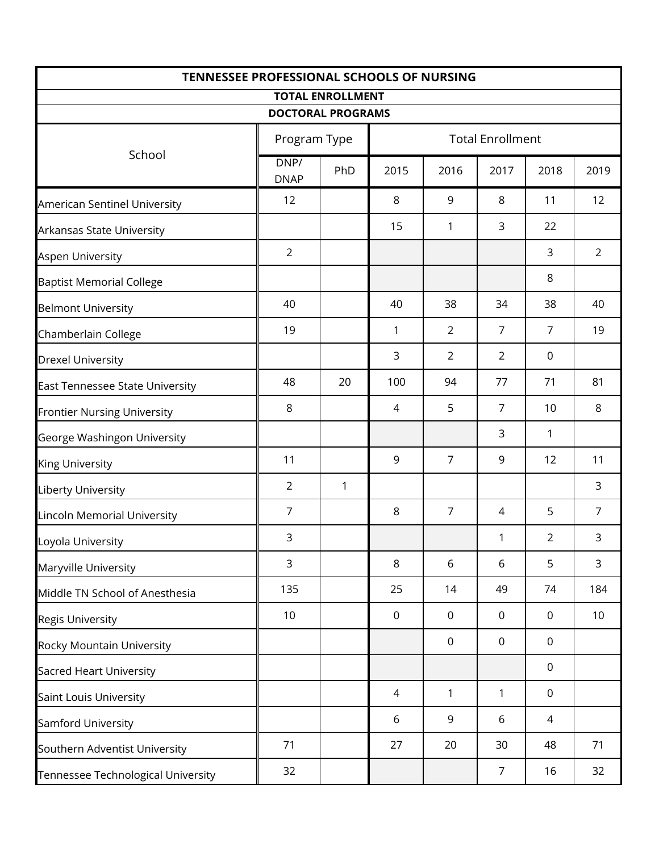| TENNESSEE PROFESSIONAL SCHOOLS OF NURSING |                          |     |             |                         |                |                |                |
|-------------------------------------------|--------------------------|-----|-------------|-------------------------|----------------|----------------|----------------|
|                                           | <b>TOTAL ENROLLMENT</b>  |     |             |                         |                |                |                |
|                                           | <b>DOCTORAL PROGRAMS</b> |     |             |                         |                |                |                |
| School                                    | Program Type             |     |             | <b>Total Enrollment</b> |                |                |                |
|                                           | DNP/<br><b>DNAP</b>      | PhD | 2015        | 2016                    | 2017           | 2018           | 2019           |
| American Sentinel University              | 12                       |     | 8           | 9                       | 8              | 11             | 12             |
| Arkansas State University                 |                          |     | 15          | 1                       | 3              | 22             |                |
| Aspen University                          | $\overline{2}$           |     |             |                         |                | 3              | 2              |
| <b>Baptist Memorial College</b>           |                          |     |             |                         |                | 8              |                |
| <b>Belmont University</b>                 | 40                       |     | 40          | 38                      | 34             | 38             | 40             |
| Chamberlain College                       | 19                       |     | 1           | $\overline{2}$          | $\overline{7}$ | $\overline{7}$ | 19             |
| <b>Drexel University</b>                  |                          |     | 3           | $\overline{2}$          | $\overline{2}$ | $\mathbf 0$    |                |
| East Tennessee State University           | 48                       | 20  | 100         | 94                      | 77             | 71             | 81             |
| <b>Frontier Nursing University</b>        | $\,8\,$                  |     | 4           | 5                       | $\overline{7}$ | 10             | $\,8\,$        |
| George Washingon University               |                          |     |             |                         | 3              | 1              |                |
| <b>King University</b>                    | 11                       |     | 9           | $\overline{7}$          | 9              | 12             | 11             |
| <b>Liberty University</b>                 | $\overline{2}$           | 1   |             |                         |                |                | 3              |
| <b>Lincoln Memorial University</b>        | $\overline{7}$           |     | 8           | $\overline{7}$          | 4              | 5              | $\overline{7}$ |
| Loyola University                         | 3                        |     |             |                         | 1              | $\overline{2}$ | 3              |
| Maryville University                      | 3                        |     | 8           | 6                       | 6              | 5              | 3              |
| Middle TN School of Anesthesia            | 135                      |     | 25          | 14                      | 49             | 74             | 184            |
| <b>Regis University</b>                   | 10                       |     | $\mathbf 0$ | $\mathbf 0$             | $\mathbf 0$    | $\mathbf 0$    | 10             |
| Rocky Mountain University                 |                          |     |             | $\mathbf 0$             | $\mathbf 0$    | $\mathbf 0$    |                |
| <b>Sacred Heart University</b>            |                          |     |             |                         |                | $\mathbf 0$    |                |
| Saint Louis University                    |                          |     | 4           | 1                       | $\mathbf{1}$   | $\mathbf 0$    |                |
| Samford University                        |                          |     | 6           | 9                       | 6              | 4              |                |
| Southern Adventist University             | 71                       |     | 27          | 20                      | 30             | 48             | 71             |
| Tennessee Technological University        | 32                       |     |             |                         | $\overline{7}$ | 16             | 32             |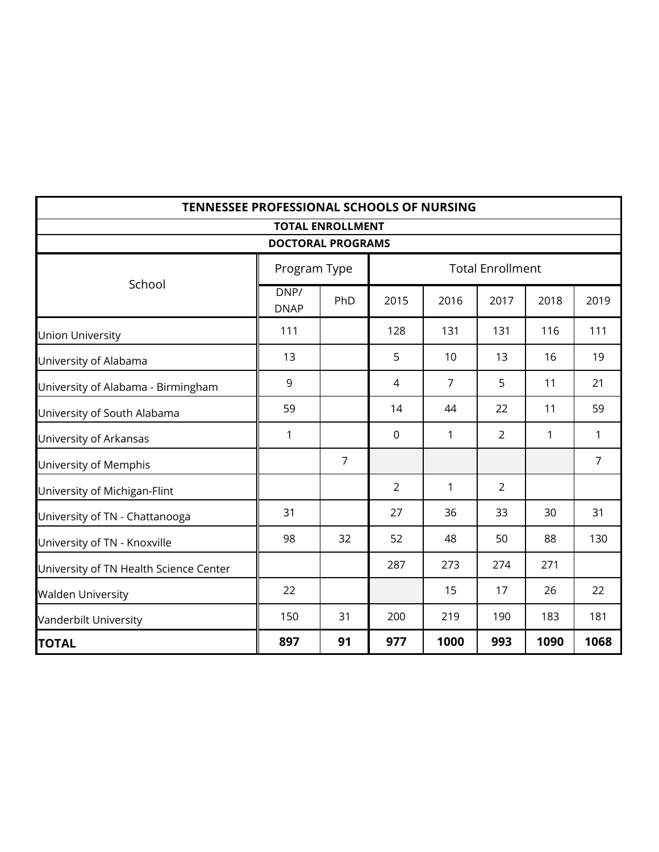|                                        | <b>TENNESSEE PROFESSIONAL SCHOOLS OF NURSING</b> |                          |      |                |                         |      |                |
|----------------------------------------|--------------------------------------------------|--------------------------|------|----------------|-------------------------|------|----------------|
|                                        |                                                  | <b>TOTAL ENROLLMENT</b>  |      |                |                         |      |                |
|                                        |                                                  | <b>DOCTORAL PROGRAMS</b> |      |                |                         |      |                |
|                                        |                                                  | Program Type             |      |                | <b>Total Enrollment</b> |      |                |
| School                                 | DNP/<br><b>DNAP</b>                              | PhD                      | 2015 | 2016           | 2017                    | 2018 | 2019           |
| <b>Union University</b>                | 111                                              |                          | 128  | 131            | 131                     | 116  | 111            |
| University of Alabama                  | 13                                               |                          | 5    | 10             | 13                      | 16   | 19             |
| University of Alabama - Birmingham     | 9                                                |                          | 4    | $\overline{7}$ | 5                       | 11   | 21             |
| University of South Alabama            | 59                                               |                          | 14   | 44             | 22                      | 11   | 59             |
| University of Arkansas                 | 1                                                |                          | 0    | 1              | $\overline{2}$          | 1    | $\mathbf{1}$   |
| University of Memphis                  |                                                  | $\overline{7}$           |      |                |                         |      | $\overline{7}$ |
| University of Michigan-Flint           |                                                  |                          | 2    | $\mathbf{1}$   | $\overline{2}$          |      |                |
| University of TN - Chattanooga         | 31                                               |                          | 27   | 36             | 33                      | 30   | 31             |
| University of TN - Knoxville           | 98                                               | 32                       | 52   | 48             | 50                      | 88   | 130            |
| University of TN Health Science Center |                                                  |                          | 287  | 273            | 274                     | 271  |                |
| <b>Walden University</b>               | 22                                               |                          |      | 15             | 17                      | 26   | 22             |
| Vanderbilt University                  | 150                                              | 31                       | 200  | 219            | 190                     | 183  | 181            |
| <b>TOTAL</b>                           | 897                                              | 91                       | 977  | 1000           | 993                     | 1090 | 1068           |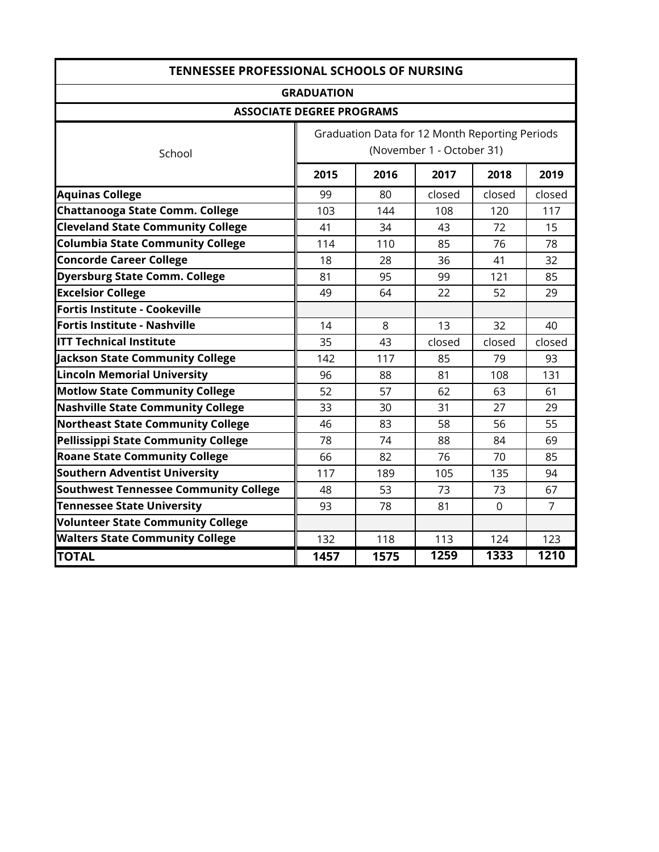| <b>TENNESSEE PROFESSIONAL SCHOOLS OF NURSING</b> |                   |                                                |                           |             |                   |  |
|--------------------------------------------------|-------------------|------------------------------------------------|---------------------------|-------------|-------------------|--|
|                                                  | <b>GRADUATION</b> |                                                |                           |             |                   |  |
| <b>ASSOCIATE DEGREE PROGRAMS</b>                 |                   |                                                |                           |             |                   |  |
| School                                           |                   | Graduation Data for 12 Month Reporting Periods | (November 1 - October 31) |             |                   |  |
|                                                  | 2015              | 2016                                           | 2017                      | 2018        | 2019              |  |
| <b>Aquinas College</b>                           | 99                | 80                                             | closed                    | closed      | closed            |  |
| <b>Chattanooga State Comm. College</b>           | 103               | 144                                            | 108                       | 120         | 117               |  |
| <b>Cleveland State Community College</b>         | 41                | 34                                             | 43                        | 72          | 15                |  |
| <b>Columbia State Community College</b>          | 114               | 110                                            | 85                        | 76          | 78                |  |
| <b>Concorde Career College</b>                   | 18                | 28                                             | 36                        | 41          | 32                |  |
| <b>Dyersburg State Comm. College</b>             | 81                | 95                                             | 99                        | 121         | 85                |  |
| <b>Excelsior College</b>                         | 49                | 64                                             | 22                        | 52          | 29                |  |
| Fortis Institute - Cookeville                    |                   |                                                |                           |             |                   |  |
| <b>Fortis Institute - Nashville</b>              | 14                | 8                                              | 13                        | 32          | 40                |  |
| <b>ITT Technical Institute</b>                   | 35                | 43                                             | closed                    | closed      | closed            |  |
| <b>Jackson State Community College</b>           | 142               | 117                                            | 85                        | 79          | 93                |  |
| <b>Lincoln Memorial University</b>               | 96                | 88                                             | 81                        | 108         | 131               |  |
| <b>Motlow State Community College</b>            | 52                | 57                                             | 62                        | 63          | 61                |  |
| <b>Nashville State Community College</b>         | 33                | 30                                             | 31                        | 27          | 29                |  |
| <b>Northeast State Community College</b>         | 46                | 83                                             | 58                        | 56          | 55                |  |
| Pellissippi State Community College              | 78                | 74                                             | 88                        | 84          | 69                |  |
| <b>Roane State Community College</b>             | 66                | 82                                             | 76                        | 70          | 85                |  |
| <b>Southern Adventist University</b>             | 117               | 189                                            | 105                       | 135         | 94                |  |
| <b>Southwest Tennessee Community College</b>     | 48                | 53                                             | 73                        | 73          | 67                |  |
| <b>Tennessee State University</b>                | 93                | 78                                             | 81                        | $\mathbf 0$ | $\overline{7}$    |  |
| <b>Volunteer State Community College</b>         |                   |                                                |                           |             |                   |  |
| <b>Walters State Community College</b>           | 132               | 118                                            | 113                       | 124         | 123               |  |
| <b>TOTAL</b>                                     | 1457              | 1575                                           | 1259                      | 1333        | $\overline{12}10$ |  |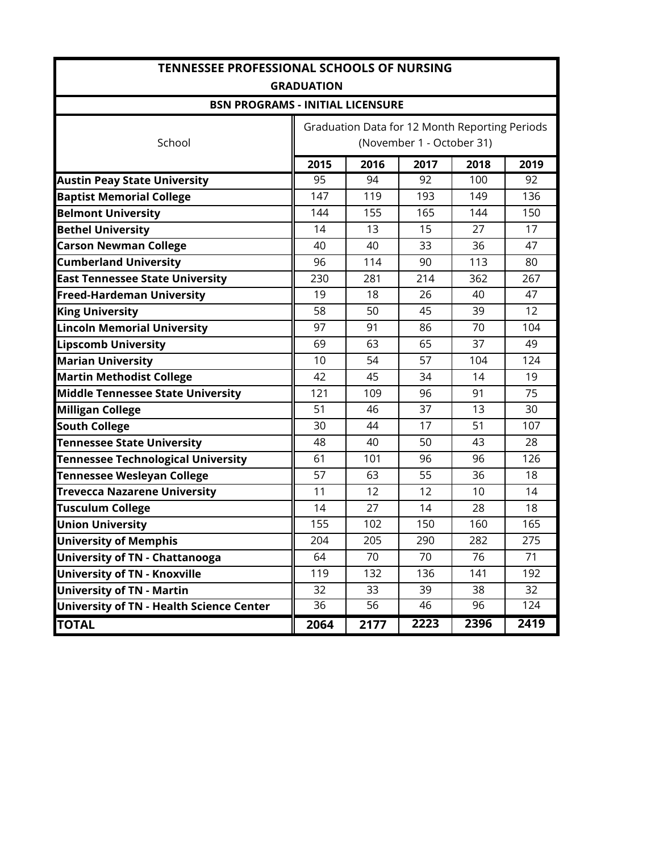| <b>TENNESSEE PROFESSIONAL SCHOOLS OF NURSING</b> |                                      |      |                           |                                                |      |  |  |  |
|--------------------------------------------------|--------------------------------------|------|---------------------------|------------------------------------------------|------|--|--|--|
| <b>GRADUATION</b>                                |                                      |      |                           |                                                |      |  |  |  |
| <b>BSN PROGRAMS - INITIAL LICENSURE</b>          |                                      |      |                           |                                                |      |  |  |  |
|                                                  |                                      |      |                           | Graduation Data for 12 Month Reporting Periods |      |  |  |  |
| School                                           |                                      |      | (November 1 - October 31) |                                                |      |  |  |  |
|                                                  | 2015                                 | 2016 | 2017                      | 2018                                           | 2019 |  |  |  |
| <b>Austin Peay State University</b>              | 95<br>94<br>92<br>100<br>92          |      |                           |                                                |      |  |  |  |
| <b>Baptist Memorial College</b>                  | 147                                  | 119  | 193                       | 149                                            | 136  |  |  |  |
| <b>Belmont University</b>                        | 144                                  | 155  | 165                       | 144                                            | 150  |  |  |  |
| <b>Bethel University</b>                         | 14                                   | 13   | 15                        | 27                                             | 17   |  |  |  |
| <b>Carson Newman College</b>                     | 40                                   | 40   | 33                        | 36                                             | 47   |  |  |  |
| <b>Cumberland University</b>                     | 96                                   | 114  | 90                        | 113                                            | 80   |  |  |  |
| <b>East Tennessee State University</b>           | 230                                  | 281  | 214                       | 362                                            | 267  |  |  |  |
| <b>Freed-Hardeman University</b>                 | 19                                   | 18   | 26                        | 40                                             | 47   |  |  |  |
| <b>King University</b>                           | 58                                   | 50   | 45                        | 39                                             | 12   |  |  |  |
| <b>Lincoln Memorial University</b>               | 97                                   | 91   | 86                        | 70                                             | 104  |  |  |  |
| <b>Lipscomb University</b>                       | 69                                   | 63   | 65                        | 37                                             | 49   |  |  |  |
| <b>Marian University</b>                         | 10                                   | 54   | 57                        | 104                                            | 124  |  |  |  |
| <b>Martin Methodist College</b>                  | 42                                   | 45   | 34                        | 14                                             | 19   |  |  |  |
| <b>Middle Tennessee State University</b>         | 121                                  | 109  | 96                        | 91                                             | 75   |  |  |  |
| <b>Milligan College</b>                          | 51                                   | 46   | 37                        | 13                                             | 30   |  |  |  |
| <b>South College</b>                             | 30                                   | 44   | 17                        | 51                                             | 107  |  |  |  |
| <b>Tennessee State University</b>                | 48                                   | 40   | 50                        | 43                                             | 28   |  |  |  |
| <b>Tennessee Technological University</b>        | 61                                   | 101  | 96                        | 96                                             | 126  |  |  |  |
| <b>Tennessee Wesleyan College</b>                | 57                                   | 63   | 55                        | 36                                             | 18   |  |  |  |
| <b>Trevecca Nazarene University</b>              | 11                                   | 12   | 12                        | 10                                             | 14   |  |  |  |
| <b>Tusculum College</b>                          | 14                                   | 27   | 14                        | 28                                             | 18   |  |  |  |
| <b>Union University</b>                          | 155                                  | 102  | 150                       | 160                                            | 165  |  |  |  |
| <b>University of Memphis</b>                     | 204                                  | 205  | 290                       | 282                                            | 275  |  |  |  |
| <b>University of TN - Chattanooga</b>            | 64                                   | 70   | 70                        | 76                                             | 71   |  |  |  |
| <b>University of TN - Knoxville</b>              | 119                                  | 132  | 136                       | 141                                            | 192  |  |  |  |
| <b>University of TN - Martin</b>                 | 32                                   | 33   | 39                        | 38                                             | 32   |  |  |  |
| <b>University of TN - Health Science Center</b>  | $\overline{36}$                      | 56   | 46                        | 96                                             | 124  |  |  |  |
| <b>TOTAL</b>                                     | 2223<br>2396<br>2419<br>2064<br>2177 |      |                           |                                                |      |  |  |  |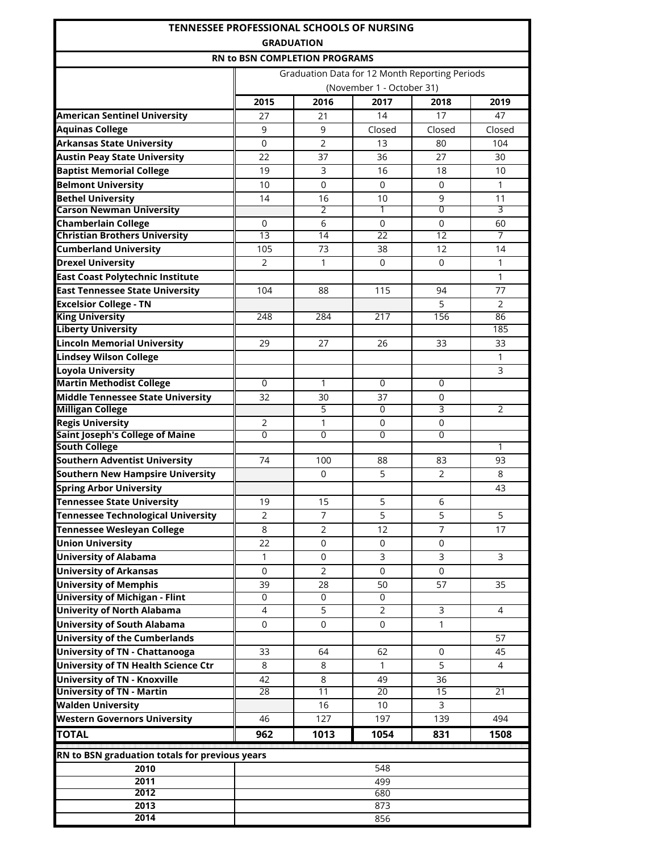| <b>TENNESSEE PROFESSIONAL SCHOOLS OF NURSING</b><br><b>GRADUATION</b> |                                      |                 |                                                |                 |                |  |  |
|-----------------------------------------------------------------------|--------------------------------------|-----------------|------------------------------------------------|-----------------|----------------|--|--|
|                                                                       | <b>RN to BSN COMPLETION PROGRAMS</b> |                 |                                                |                 |                |  |  |
|                                                                       |                                      |                 | Graduation Data for 12 Month Reporting Periods |                 |                |  |  |
|                                                                       |                                      |                 | (November 1 - October 31)                      |                 |                |  |  |
|                                                                       | 2015                                 | 2016            | 2017                                           | 2018            | 2019           |  |  |
| <b>American Sentinel University</b>                                   | 27                                   | 21              | 14                                             | 17              | 47             |  |  |
| <b>Aquinas College</b>                                                | 9                                    | 9               | Closed                                         | Closed          | Closed         |  |  |
| <b>Arkansas State University</b>                                      | 0                                    | 2               | 13                                             | 80              | 104            |  |  |
| <b>Austin Peay State University</b>                                   | 22                                   | 37              | 36                                             | 27              | 30             |  |  |
| <b>Baptist Memorial College</b>                                       | 19                                   | 3               | 16                                             | 18              | 10             |  |  |
| <b>Belmont University</b>                                             | 10                                   | $\Omega$        | 0                                              | 0               | 1              |  |  |
| <b>Bethel University</b>                                              | 14                                   | 16              | 10                                             | 9               | 11             |  |  |
| <b>Carson Newman University</b>                                       |                                      | 2               | 1                                              | 0               | 3              |  |  |
| <b>Chamberlain College</b>                                            | 0                                    | 6               | $\mathbf 0$                                    | 0               | 60             |  |  |
| <b>Christian Brothers University</b>                                  | $\overline{13}$                      | $\overline{14}$ | $\overline{22}$                                | $\overline{12}$ | 7              |  |  |
| <b>Cumberland University</b>                                          | 105                                  | 73              | 38                                             | 12              | 14             |  |  |
| <b>Drexel University</b>                                              | $\overline{2}$                       | 1               | 0                                              | 0               | 1              |  |  |
| <b>East Coast Polytechnic Institute</b>                               |                                      |                 |                                                |                 | 1              |  |  |
| <b>East Tennessee State University</b>                                | 104                                  | 88              | 115                                            | 94              | 77             |  |  |
| <b>Excelsior College - TN</b>                                         |                                      |                 |                                                | 5               | $\overline{2}$ |  |  |
| <b>King University</b>                                                | 248                                  | 284             | 217                                            | 156             | 86             |  |  |
| <b>Liberty University</b>                                             |                                      |                 |                                                |                 | 185            |  |  |
| <b>Lincoln Memorial University</b>                                    | 29                                   | 27              | 26                                             | 33              | 33             |  |  |
| <b>Lindsey Wilson College</b>                                         |                                      |                 |                                                |                 | 1              |  |  |
| <b>Loyola University</b>                                              |                                      |                 |                                                |                 | 3              |  |  |
| <b>Martin Methodist College</b>                                       | 0                                    | 1               | $\Omega$                                       | 0               |                |  |  |
| <b>Middle Tennessee State University</b>                              | 32                                   | 30              | 37                                             | 0               |                |  |  |
| <b>Milligan College</b>                                               |                                      | 5               | $\Omega$                                       | 3               | $\overline{2}$ |  |  |
| <b>Regis University</b>                                               | 2                                    | 1               | 0                                              | 0               |                |  |  |
| <b>Saint Joseph's College of Maine</b>                                | $\overline{0}$                       | 0               | $\overline{0}$                                 | $\Omega$        |                |  |  |
| <b>South College</b>                                                  |                                      |                 |                                                |                 | 1              |  |  |
| <b>Southern Adventist University</b>                                  | 74                                   | 100             | 88                                             | 83              | 93             |  |  |
| <b>Southern New Hampsire University</b>                               |                                      | 0               | 5                                              | $\overline{2}$  | 8              |  |  |
| <b>Spring Arbor University</b>                                        |                                      |                 |                                                |                 | 43             |  |  |
| <b>Tennessee State University</b>                                     | 19                                   | 15              | 5                                              | 6               |                |  |  |
| <b>Tennessee Technological University</b>                             | 2                                    | 7               | 5                                              | 5               | 5              |  |  |
| <b>Tennessee Wesleyan College</b>                                     | 8                                    | $\overline{2}$  | 12                                             | $\overline{7}$  | 17             |  |  |
| <b>Union University</b>                                               | 22                                   | 0               | 0                                              | 0               |                |  |  |
| <b>University of Alabama</b>                                          | 1                                    | 0               | 3                                              | 3               | 3              |  |  |
| <b>University of Arkansas</b>                                         | 0                                    | $\overline{2}$  | $\mathbf 0$                                    | 0               |                |  |  |
| <b>University of Memphis</b>                                          | 39                                   | 28              | 50                                             | 57              | 35             |  |  |
| <b>University of Michigan - Flint</b>                                 | 0                                    | 0               | 0                                              |                 |                |  |  |
| <b>Univerity of North Alabama</b>                                     | $\overline{4}$                       | 5               | 2                                              | 3               | 4              |  |  |
| <b>University of South Alabama</b>                                    | 0                                    | 0               | 0                                              | 1               |                |  |  |
| <b>University of the Cumberlands</b>                                  |                                      |                 |                                                |                 | 57             |  |  |
| <b>University of TN - Chattanooga</b>                                 | 33                                   | 64              | 62                                             | 0               | 45             |  |  |
| University of TN Health Science Ctr                                   | 8                                    | 8               | $\mathbf{1}$                                   | 5               | 4              |  |  |
| <b>University of TN - Knoxville</b>                                   | 42                                   | 8               | 49                                             | 36              |                |  |  |
| <b>University of TN - Martin</b>                                      | 28                                   | $\overline{11}$ | $\overline{20}$                                | $\overline{15}$ | 21             |  |  |
| <b>Walden University</b>                                              |                                      | 16              | 10                                             | 3               |                |  |  |
| <b>Western Governors University</b>                                   | 46                                   | 127             | 197                                            | 139             | 494            |  |  |
| <b>TOTAL</b>                                                          | 962                                  | 1013            | 1054                                           | 831             | 1508           |  |  |
|                                                                       |                                      |                 |                                                |                 |                |  |  |
| RN to BSN graduation totals for previous years                        |                                      |                 |                                                |                 |                |  |  |
| 2010                                                                  |                                      |                 | 548                                            |                 |                |  |  |
| 2011                                                                  |                                      |                 | 499                                            |                 |                |  |  |
| 2012                                                                  |                                      |                 | 680                                            |                 |                |  |  |
| 2013                                                                  |                                      |                 | 873                                            |                 |                |  |  |
| 2014                                                                  | 856                                  |                 |                                                |                 |                |  |  |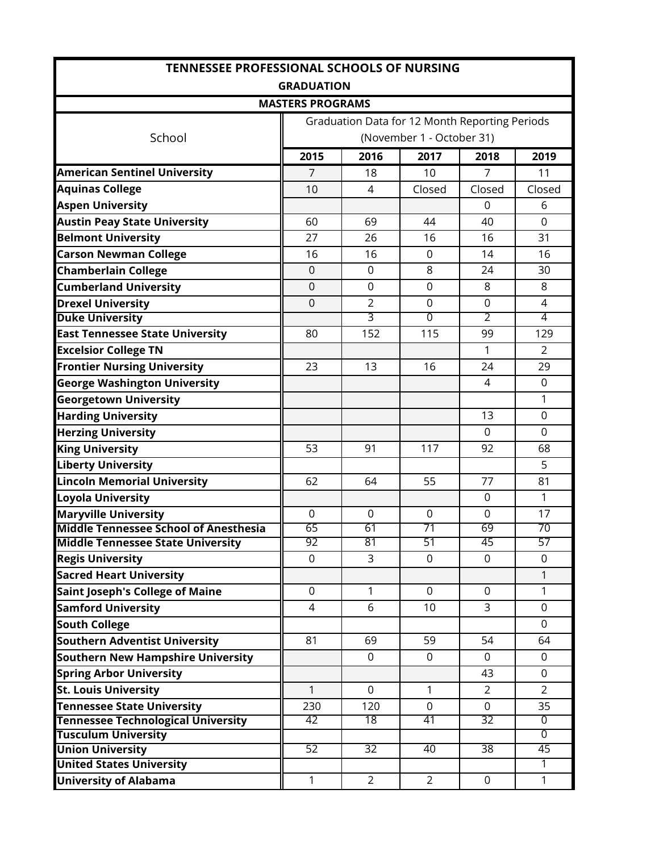| <b>TENNESSEE PROFESSIONAL SCHOOLS OF NURSING</b>                               |                         |                      |                                                |                   |                   |  |  |
|--------------------------------------------------------------------------------|-------------------------|----------------------|------------------------------------------------|-------------------|-------------------|--|--|
| <b>GRADUATION</b>                                                              |                         |                      |                                                |                   |                   |  |  |
|                                                                                | <b>MASTERS PROGRAMS</b> |                      |                                                |                   |                   |  |  |
|                                                                                |                         |                      | Graduation Data for 12 Month Reporting Periods |                   |                   |  |  |
| School                                                                         |                         |                      | (November 1 - October 31)                      |                   |                   |  |  |
|                                                                                | 2015                    | 2016                 | 2017                                           | 2018              | 2019              |  |  |
| <b>American Sentinel University</b>                                            | $\overline{7}$          | 18                   | 10                                             | $\overline{7}$    | 11                |  |  |
| <b>Aquinas College</b>                                                         | 10                      | 4                    | Closed                                         | Closed            | Closed            |  |  |
| <b>Aspen University</b>                                                        |                         |                      |                                                | $\mathbf 0$       | 6                 |  |  |
| <b>Austin Peay State University</b>                                            | 60                      | 69                   | 44                                             | 40                | $\mathbf 0$       |  |  |
| <b>Belmont University</b>                                                      | 27                      | 26                   | 16                                             | 16                | 31                |  |  |
| <b>Carson Newman College</b>                                                   | 16                      | 16                   | 0                                              | 14                | 16                |  |  |
| <b>Chamberlain College</b>                                                     | $\overline{0}$          | $\overline{0}$       | 8                                              | 24                | 30                |  |  |
| <b>Cumberland University</b>                                                   | $\overline{0}$          | $\overline{0}$       | $\overline{0}$                                 | 8                 | 8                 |  |  |
| <b>Drexel University</b>                                                       | $\overline{0}$          | $\overline{2}$       | $\mathbf 0$                                    | $\Omega$          | 4                 |  |  |
| <b>Duke University</b>                                                         |                         | 3                    | 0                                              | 2                 | 4                 |  |  |
| <b>East Tennessee State University</b>                                         | 80                      | 152                  | 115                                            | 99                | 129               |  |  |
| <b>Excelsior College TN</b>                                                    |                         |                      |                                                | 1                 | $\overline{2}$    |  |  |
| <b>Frontier Nursing University</b>                                             | 23                      | 13                   | 16                                             | 24                | 29                |  |  |
| <b>George Washington University</b>                                            |                         |                      |                                                | 4                 | 0                 |  |  |
| <b>Georgetown University</b>                                                   |                         |                      |                                                |                   | 1                 |  |  |
| <b>Harding University</b>                                                      |                         |                      |                                                | 13                | $\mathbf 0$       |  |  |
| <b>Herzing University</b>                                                      |                         |                      |                                                | $\mathbf 0$       | $\mathbf 0$       |  |  |
| <b>King University</b>                                                         | 53                      | 91                   | 117                                            | 92                | 68                |  |  |
| <b>Liberty University</b>                                                      |                         |                      |                                                |                   | 5                 |  |  |
| <b>Lincoln Memorial University</b>                                             | 62                      | 64                   | 55                                             | 77                | 81                |  |  |
| Loyola University                                                              |                         |                      |                                                | $\mathbf{0}$      | 1                 |  |  |
| <b>Maryville University</b>                                                    | 0                       | $\mathbf 0$          | 0                                              | 0                 | 17                |  |  |
| <b>Middle Tennessee School of Anesthesia</b>                                   | 65                      | 61                   | 71                                             | 69                | 70                |  |  |
| <b>Middle Tennessee State University</b>                                       | 92<br>0                 | 81<br>$\overline{3}$ | 51<br>$\Omega$                                 | 45<br>$\Omega$    | 57<br>$\Omega$    |  |  |
| <b>Regis University</b>                                                        |                         |                      |                                                |                   | $\mathbf{1}$      |  |  |
| <b>Sacred Heart University</b>                                                 |                         |                      |                                                |                   |                   |  |  |
| <b>Saint Joseph's College of Maine</b>                                         | 0<br>$\overline{4}$     | $\mathbf{1}$<br>6    | $\mathbf 0$                                    | 0<br>$\mathsf{3}$ | $\mathbf{1}$      |  |  |
| <b>Samford University</b>                                                      |                         |                      | 10                                             |                   | 0                 |  |  |
| <b>South College</b>                                                           | 81                      | 69                   | 59                                             | 54                | $\mathbf 0$<br>64 |  |  |
| <b>Southern Adventist University</b>                                           |                         |                      |                                                |                   |                   |  |  |
| <b>Southern New Hampshire University</b>                                       |                         | 0                    | $\mathbf 0$                                    | $\mathbf{0}$      | 0                 |  |  |
| <b>Spring Arbor University</b>                                                 |                         |                      |                                                | 43                | 0                 |  |  |
| <b>St. Louis University</b>                                                    | 1                       | $\mathbf 0$          | 1                                              | $\overline{2}$    | $\overline{2}$    |  |  |
| <b>Tennessee State University</b><br><b>Tennessee Technological University</b> | 230<br>42               | 120<br>18            | $\mathbf 0$<br>41                              | $\mathbf 0$<br>32 | 35<br>0           |  |  |
| <b>Tusculum University</b>                                                     |                         |                      |                                                |                   | $\overline{0}$    |  |  |
| <b>Union University</b>                                                        | 52                      | $\overline{32}$      | 40                                             | $\overline{38}$   | 45                |  |  |
| <b>United States University</b>                                                |                         |                      |                                                |                   | 1                 |  |  |
| <b>University of Alabama</b>                                                   | $\mathbf{1}$            | $\overline{2}$       | $\overline{2}$                                 | $\mathbf 0$       | $\mathbf{1}$      |  |  |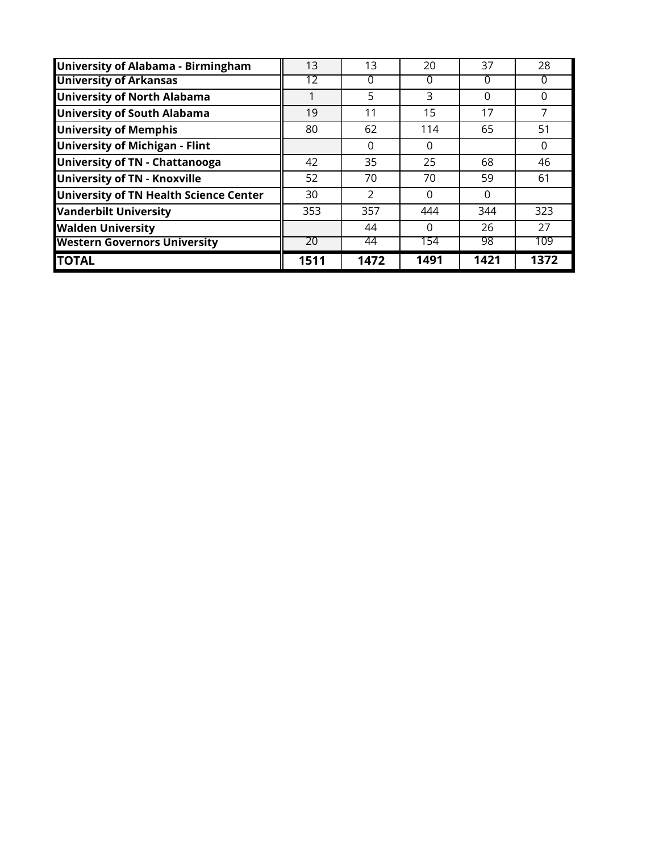| University of Alabama - Birmingham     | 13   | 13            | 20   | 37       | 28       |
|----------------------------------------|------|---------------|------|----------|----------|
| <b>University of Arkansas</b>          | 12   | 0             | 0    | 0        | 0        |
| <b>University of North Alabama</b>     |      | 5             | 3    | $\Omega$ | $\Omega$ |
| <b>University of South Alabama</b>     | 19   | 11            | 15   | 17       | 7        |
| <b>University of Memphis</b>           | 80   | 62            | 114  | 65       | 51       |
| <b>University of Michigan - Flint</b>  |      | $\Omega$      | 0    |          | 0        |
| <b>University of TN - Chattanooga</b>  | 42   | 35            | 25   | 68       | 46       |
| <b>University of TN - Knoxville</b>    | 52   | 70            | 70   | 59       | 61       |
| University of TN Health Science Center | 30   | $\mathcal{P}$ | 0    | $\Omega$ |          |
| <b>Vanderbilt University</b>           | 353  | 357           | 444  | 344      | 323      |
| <b>Walden University</b>               |      | 44            | 0    | 26       | 27       |
| <b>Western Governors University</b>    | 20   | 44            | 154  | 98       | 109      |
| <b>TOTAL</b>                           | 1511 | 1472          | 1491 | 1421     | 1372     |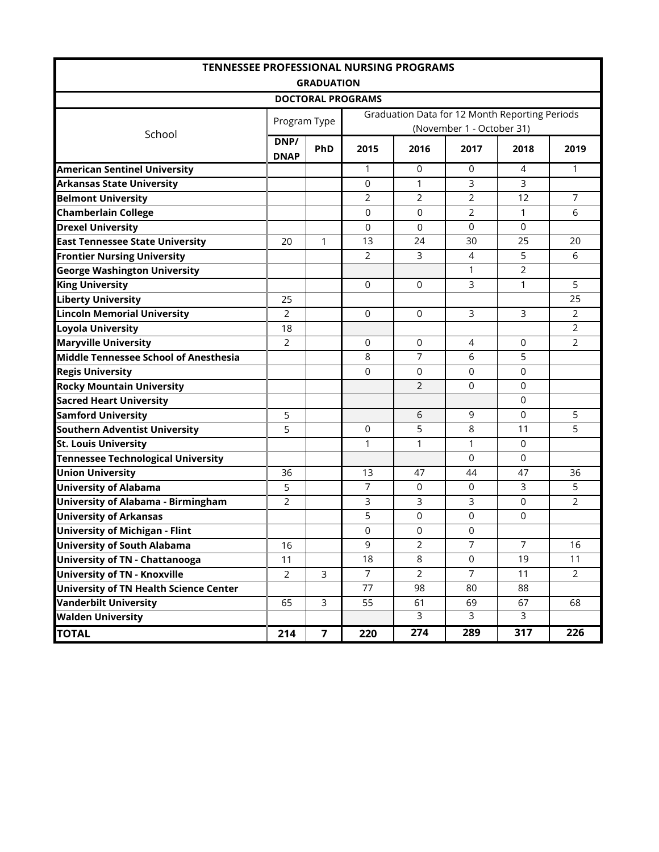| <b>TENNESSEE PROFESSIONAL NURSING PROGRAMS</b> |                     |                |                          |                |                           |                                                |                |
|------------------------------------------------|---------------------|----------------|--------------------------|----------------|---------------------------|------------------------------------------------|----------------|
|                                                | <b>GRADUATION</b>   |                |                          |                |                           |                                                |                |
|                                                |                     |                | <b>DOCTORAL PROGRAMS</b> |                |                           |                                                |                |
|                                                | Program Type        |                |                          |                |                           | Graduation Data for 12 Month Reporting Periods |                |
| School                                         |                     |                |                          |                | (November 1 - October 31) |                                                |                |
|                                                | DNP/<br><b>DNAP</b> | <b>PhD</b>     | 2015                     | 2016           | 2017                      | 2018                                           | 2019           |
| <b>American Sentinel University</b>            |                     |                | 1                        | 0              | 0                         | 4                                              | 1              |
| <b>Arkansas State University</b>               |                     |                | $\mathbf 0$              | $\mathbf{1}$   | 3                         | 3                                              |                |
| <b>Belmont University</b>                      |                     |                | 2                        | 2              | $\overline{2}$            | 12                                             | $\overline{7}$ |
| <b>Chamberlain College</b>                     |                     |                | 0                        | 0              | $\overline{2}$            | 1                                              | 6              |
| <b>Drexel University</b>                       |                     |                | $\mathbf 0$              | 0              | $\mathbf 0$               | $\mathbf 0$                                    |                |
| <b>East Tennessee State University</b>         | 20                  | 1              | 13                       | 24             | 30                        | 25                                             | 20             |
| <b>Frontier Nursing University</b>             |                     |                | 2                        | 3              | 4                         | 5                                              | 6              |
| <b>George Washington University</b>            |                     |                |                          |                | 1                         | $\overline{2}$                                 |                |
| <b>King University</b>                         |                     |                | $\Omega$                 | $\Omega$       | 3                         | 1                                              | 5              |
| <b>Liberty University</b>                      | 25                  |                |                          |                |                           |                                                | 25             |
| <b>Lincoln Memorial University</b>             | 2                   |                | $\mathbf 0$              | $\Omega$       | 3                         | 3                                              | $\overline{2}$ |
| <b>Loyola University</b>                       | 18                  |                |                          |                |                           |                                                | $\overline{2}$ |
| <b>Maryville University</b>                    | 2                   |                | 0                        | $\mathbf 0$    | $\overline{4}$            | 0                                              | $\overline{2}$ |
| <b>Middle Tennessee School of Anesthesia</b>   |                     |                | 8                        | $\overline{7}$ | 6                         | 5                                              |                |
| <b>Regis University</b>                        |                     |                | 0                        | $\mathbf 0$    | $\mathbf 0$               | $\mathbf 0$                                    |                |
| <b>Rocky Mountain University</b>               |                     |                |                          | $\overline{2}$ | $\Omega$                  | $\Omega$                                       |                |
| <b>Sacred Heart University</b>                 |                     |                |                          |                |                           | $\mathbf 0$                                    |                |
| <b>Samford University</b>                      | 5                   |                |                          | 6              | 9                         | $\Omega$                                       | 5              |
| <b>Southern Adventist University</b>           | 5                   |                | $\Omega$                 | 5              | 8                         | 11                                             | 5              |
| <b>St. Louis University</b>                    |                     |                | $\mathbf{1}$             | $\mathbf{1}$   | 1                         | $\mathbf 0$                                    |                |
| <b>Tennessee Technological University</b>      |                     |                |                          |                | $\mathbf 0$               | 0                                              |                |
| <b>Union University</b>                        | 36                  |                | 13                       | 47             | 44                        | 47                                             | 36             |
| <b>University of Alabama</b>                   | 5                   |                | 7                        | 0              | $\mathbf 0$               | 3                                              | 5              |
| <b>University of Alabama - Birmingham</b>      | 2                   |                | 3                        | 3              | 3                         | 0                                              | $\overline{2}$ |
| <b>University of Arkansas</b>                  |                     |                | 5                        | 0              | 0                         | 0                                              |                |
| <b>University of Michigan - Flint</b>          |                     |                | 0                        | 0              | 0                         |                                                |                |
| <b>University of South Alabama</b>             | 16                  |                | 9                        | 2              | 7                         | 7                                              | 16             |
| <b>University of TN - Chattanooga</b>          | 11                  |                | 18                       | 8              | $\mathsf{O}$              | 19                                             | 11             |
| <b>University of TN - Knoxville</b>            | $\overline{2}$      | $\overline{3}$ | $\overline{7}$           | $\overline{2}$ | $\overline{7}$            | 11                                             | $\overline{2}$ |
| <b>University of TN Health Science Center</b>  |                     |                | 77                       | 98             | 80                        | 88                                             |                |
| <b>Vanderbilt University</b>                   | 65                  | 3              | 55                       | 61             | 69                        | 67                                             | 68             |
| <b>Walden University</b>                       |                     |                |                          | $\overline{3}$ | $\overline{3}$            | $\overline{3}$                                 |                |
| <b>TOTAL</b>                                   | 214                 | $\overline{7}$ | 220                      | 274            | 289                       | 317                                            | 226            |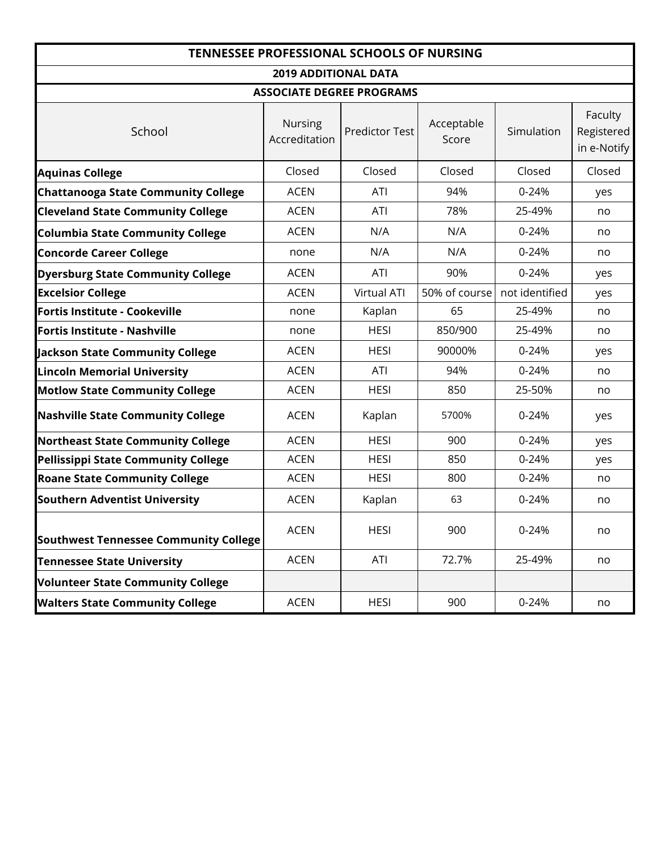| <b>TENNESSEE PROFESSIONAL SCHOOLS OF NURSING</b> |                                 |                       |                     |                |                                      |  |  |
|--------------------------------------------------|---------------------------------|-----------------------|---------------------|----------------|--------------------------------------|--|--|
| <b>2019 ADDITIONAL DATA</b>                      |                                 |                       |                     |                |                                      |  |  |
| <b>ASSOCIATE DEGREE PROGRAMS</b>                 |                                 |                       |                     |                |                                      |  |  |
| School                                           | <b>Nursing</b><br>Accreditation | <b>Predictor Test</b> | Acceptable<br>Score | Simulation     | Faculty<br>Registered<br>in e-Notify |  |  |
| <b>Aquinas College</b>                           | Closed                          | Closed                | Closed              | Closed         | Closed                               |  |  |
| <b>Chattanooga State Community College</b>       | <b>ACEN</b>                     | ATI                   | 94%                 | $0 - 24%$      | yes                                  |  |  |
| <b>Cleveland State Community College</b>         | <b>ACEN</b>                     | ATI                   | 78%                 | 25-49%         | no                                   |  |  |
| <b>Columbia State Community College</b>          | <b>ACEN</b>                     | N/A                   | N/A                 | $0 - 24%$      | no                                   |  |  |
| <b>Concorde Career College</b>                   | none                            | N/A                   | N/A                 | $0 - 24%$      | no                                   |  |  |
| <b>Dyersburg State Community College</b>         | <b>ACEN</b>                     | ATI                   | 90%                 | $0 - 24%$      | yes                                  |  |  |
| <b>Excelsior College</b>                         | <b>ACEN</b>                     | Virtual ATI           | 50% of course       | not identified | yes                                  |  |  |
| Fortis Institute - Cookeville                    | none                            | Kaplan                | 65                  | 25-49%         | no                                   |  |  |
| Fortis Institute - Nashville                     | none                            | <b>HESI</b>           | 850/900             | 25-49%         | no                                   |  |  |
| <b>Jackson State Community College</b>           | <b>ACEN</b>                     | <b>HESI</b>           | 90000%              | 0-24%          | yes                                  |  |  |
| <b>Lincoln Memorial University</b>               | <b>ACEN</b>                     | ATI                   | 94%                 | $0 - 24%$      | no                                   |  |  |
| <b>Motlow State Community College</b>            | <b>ACEN</b>                     | <b>HESI</b>           | 850                 | 25-50%         | no                                   |  |  |
| <b>Nashville State Community College</b>         | <b>ACEN</b>                     | Kaplan                | 5700%               | $0 - 24%$      | yes                                  |  |  |
| <b>Northeast State Community College</b>         | <b>ACEN</b>                     | <b>HESI</b>           | 900                 | $0 - 24%$      | yes                                  |  |  |
| <b>Pellissippi State Community College</b>       | <b>ACEN</b>                     | <b>HESI</b>           | 850                 | $0 - 24%$      | yes                                  |  |  |
| <b>Roane State Community College</b>             | <b>ACEN</b>                     | <b>HESI</b>           | 800                 | $0 - 24%$      | no                                   |  |  |
| <b>Southern Adventist University</b>             | <b>ACEN</b>                     | Kaplan                | 63                  | $0 - 24%$      | no                                   |  |  |
| <b>Southwest Tennessee Community College</b>     | <b>ACEN</b>                     | <b>HESI</b>           | 900                 | 0-24%          | no                                   |  |  |
| <b>Tennessee State University</b>                | <b>ACEN</b>                     | ATI                   | 72.7%               | 25-49%         | no                                   |  |  |
| <b>Volunteer State Community College</b>         |                                 |                       |                     |                |                                      |  |  |
| <b>Walters State Community College</b>           | <b>ACEN</b>                     | <b>HESI</b>           | 900                 | 0-24%          | no                                   |  |  |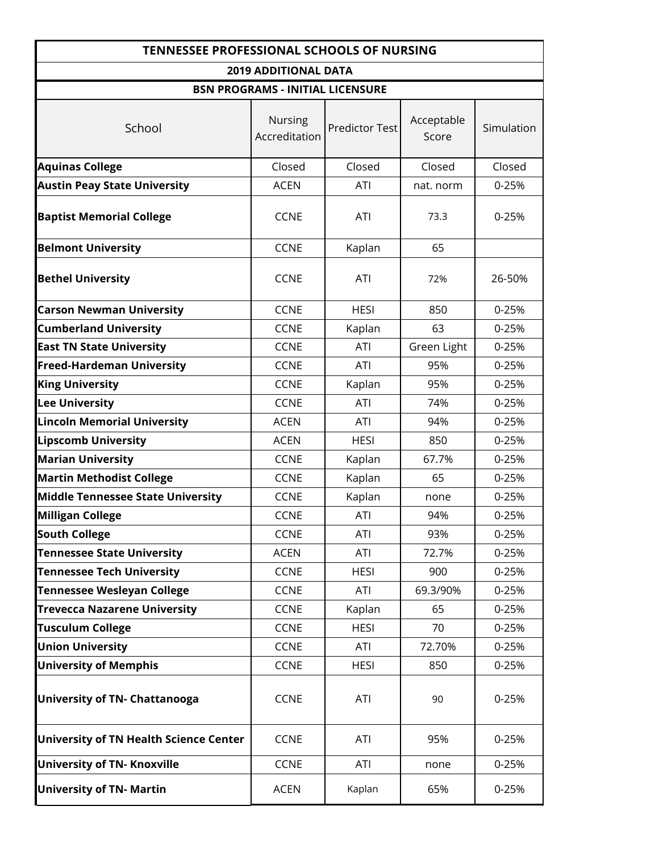| <b>TENNESSEE PROFESSIONAL SCHOOLS OF NURSING</b> |                                         |                       |                     |            |  |  |
|--------------------------------------------------|-----------------------------------------|-----------------------|---------------------|------------|--|--|
|                                                  | <b>2019 ADDITIONAL DATA</b>             |                       |                     |            |  |  |
|                                                  | <b>BSN PROGRAMS - INITIAL LICENSURE</b> |                       |                     |            |  |  |
| School                                           | <b>Nursing</b><br>Accreditation         | <b>Predictor Test</b> | Acceptable<br>Score | Simulation |  |  |
| <b>Aquinas College</b>                           | Closed                                  | Closed                | Closed              | Closed     |  |  |
| <b>Austin Peay State University</b>              | <b>ACEN</b>                             | ATI                   | nat. norm           | 0-25%      |  |  |
| <b>Baptist Memorial College</b>                  | <b>CCNE</b>                             | <b>ATI</b>            | 73.3                | 0-25%      |  |  |
| <b>Belmont University</b>                        | <b>CCNE</b>                             | Kaplan                | 65                  |            |  |  |
| <b>Bethel University</b>                         | <b>CCNE</b>                             | <b>ATI</b>            | 72%                 | 26-50%     |  |  |
| <b>Carson Newman University</b>                  | <b>CCNE</b>                             | <b>HESI</b>           | 850                 | 0-25%      |  |  |
| <b>Cumberland University</b>                     | <b>CCNE</b>                             | Kaplan                | 63                  | 0-25%      |  |  |
| <b>East TN State University</b>                  | <b>CCNE</b>                             | ATI                   | Green Light         | 0-25%      |  |  |
| <b>Freed-Hardeman University</b>                 | <b>CCNE</b>                             | ATI                   | 95%                 | $0 - 25%$  |  |  |
| <b>King University</b>                           | <b>CCNE</b>                             | Kaplan                | 95%                 | 0-25%      |  |  |
| <b>Lee University</b>                            | <b>CCNE</b>                             | <b>ATI</b>            | 74%                 | 0-25%      |  |  |
| <b>Lincoln Memorial University</b>               | <b>ACEN</b>                             | ATI                   | 94%                 | 0-25%      |  |  |
| <b>Lipscomb University</b>                       | <b>ACEN</b>                             | <b>HESI</b>           | 850                 | 0-25%      |  |  |
| <b>Marian University</b>                         | <b>CCNE</b>                             | Kaplan                | 67.7%               | 0-25%      |  |  |
| <b>Martin Methodist College</b>                  | <b>CCNE</b>                             | Kaplan                | 65                  | 0-25%      |  |  |
| <b>Middle Tennessee State University</b>         | <b>CCNE</b>                             | Kaplan                | none                | 0-25%      |  |  |
| <b>Milligan College</b>                          | <b>CCNE</b>                             | <b>ATI</b>            | 94%                 | 0-25%      |  |  |
| <b>South College</b>                             | <b>CCNE</b>                             | ATI                   | 93%                 | 0-25%      |  |  |
| <b>Tennessee State University</b>                | <b>ACEN</b>                             | ATI                   | 72.7%               | 0-25%      |  |  |
| <b>Tennessee Tech University</b>                 | <b>CCNE</b>                             | <b>HESI</b>           | 900                 | 0-25%      |  |  |
| <b>Tennessee Wesleyan College</b>                | <b>CCNE</b>                             | ATI                   | 69.3/90%            | 0-25%      |  |  |
| <b>Trevecca Nazarene University</b>              | <b>CCNE</b>                             | Kaplan                | 65                  | 0-25%      |  |  |
| <b>Tusculum College</b>                          | <b>CCNE</b>                             | <b>HESI</b>           | 70                  | 0-25%      |  |  |
| <b>Union University</b>                          | <b>CCNE</b>                             | ATI                   | 72.70%              | 0-25%      |  |  |
| <b>University of Memphis</b>                     | <b>CCNE</b>                             | <b>HESI</b>           | 850                 | $0 - 25%$  |  |  |
| <b>University of TN- Chattanooga</b>             | <b>CCNE</b>                             | <b>ATI</b>            | 90                  | 0-25%      |  |  |
| <b>University of TN Health Science Center</b>    | <b>CCNE</b>                             | ATI                   | 95%                 | 0-25%      |  |  |
| <b>University of TN- Knoxville</b>               | <b>CCNE</b>                             | ATI                   | none                | 0-25%      |  |  |
| <b>University of TN- Martin</b>                  | <b>ACEN</b>                             | Kaplan                | 65%                 | 0-25%      |  |  |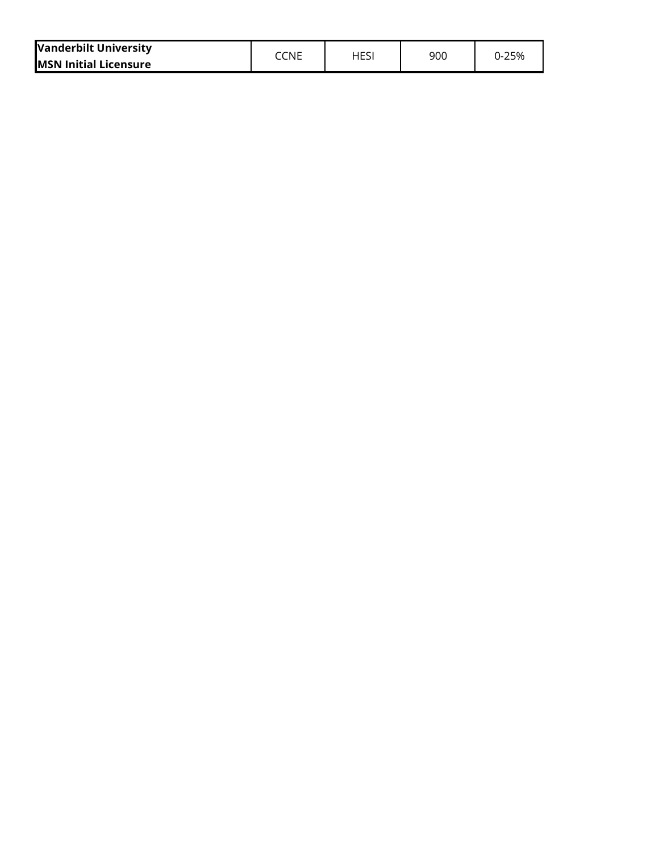| <b>Vanderbilt University</b> | CCNE | HES | 900 | J-25% |
|------------------------------|------|-----|-----|-------|
| <b>MSN Initial Licensure</b> |      |     |     |       |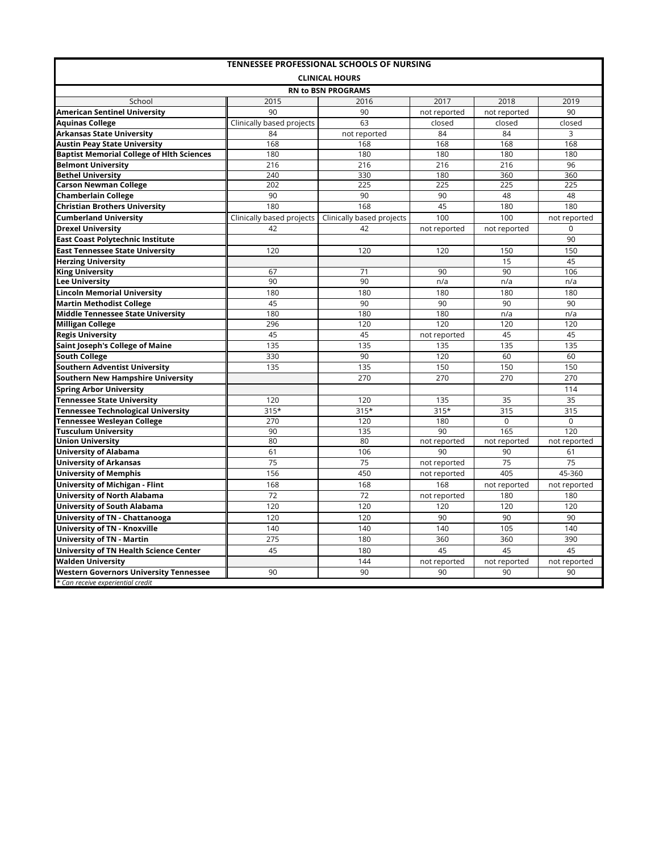| <b>TENNESSEE PROFESSIONAL SCHOOLS OF NURSING</b>                 |                           |                           |              |              |              |  |  |  |  |  |  |
|------------------------------------------------------------------|---------------------------|---------------------------|--------------|--------------|--------------|--|--|--|--|--|--|
|                                                                  |                           | <b>CLINICAL HOURS</b>     |              |              |              |  |  |  |  |  |  |
|                                                                  |                           | <b>RN to BSN PROGRAMS</b> | 2017         | 2018         |              |  |  |  |  |  |  |
| School<br><b>American Sentinel University</b>                    | 2015<br>90                | 2016<br>90                | not reported | not reported | 2019<br>90   |  |  |  |  |  |  |
|                                                                  |                           |                           |              |              |              |  |  |  |  |  |  |
| <b>Aguinas College</b>                                           | Clinically based projects | 63                        | closed       | closed       | closed       |  |  |  |  |  |  |
| Arkansas State University<br><b>Austin Peay State University</b> | 84<br>168                 | not reported              | 84           | 84           | 3            |  |  |  |  |  |  |
|                                                                  | 180                       | 168                       | 168<br>180   | 168<br>180   | 168<br>180   |  |  |  |  |  |  |
| <b>Baptist Memorial College of Hith Sciences</b>                 |                           | 180                       |              |              |              |  |  |  |  |  |  |
| <b>Belmont University</b><br><b>Bethel University</b>            | 216<br>240                | 216<br>330                | 216<br>180   | 216<br>360   | 96<br>360    |  |  |  |  |  |  |
| <b>Carson Newman College</b>                                     | 202                       | 225                       | 225          | 225          | 225          |  |  |  |  |  |  |
| <b>Chamberlain College</b>                                       | 90                        | 90                        | 90           | 48           | 48           |  |  |  |  |  |  |
| <b>Christian Brothers University</b>                             | 180                       | 168                       | 45           | 180          | 180          |  |  |  |  |  |  |
|                                                                  |                           |                           | 100          | 100          |              |  |  |  |  |  |  |
| <b>Cumberland University</b>                                     | Clinically based projects | Clinically based projects |              |              | not reported |  |  |  |  |  |  |
| <b>Drexel University</b>                                         | 42                        | 42                        | not reported | not reported | $\mathbf 0$  |  |  |  |  |  |  |
| East Coast Polytechnic Institute                                 |                           |                           |              |              | 90           |  |  |  |  |  |  |
| <b>East Tennessee State University</b>                           | 120                       | 120                       | 120          | 150          | 150          |  |  |  |  |  |  |
| <b>Herzing University</b>                                        |                           |                           |              | 15           | 45           |  |  |  |  |  |  |
| <b>King University</b>                                           | 67                        | $\overline{71}$           | 90           | 90           | 106          |  |  |  |  |  |  |
| <b>Lee University</b>                                            | 90                        | 90                        | n/a          | n/a          | n/a          |  |  |  |  |  |  |
| Lincoln Memorial University                                      | 180                       | 180                       | 180          | 180          | 180          |  |  |  |  |  |  |
| <b>Martin Methodist College</b>                                  | 45                        | 90                        | 90           | 90           | 90           |  |  |  |  |  |  |
| Middle Tennessee State University                                | 180                       | 180                       | 180          | n/a          | n/a          |  |  |  |  |  |  |
| Milligan College                                                 | 296                       | 120                       | 120          | 120          | 120          |  |  |  |  |  |  |
| <b>Regis University</b>                                          | 45                        | 45                        | not reported | 45           | 45           |  |  |  |  |  |  |
| Saint Joseph's College of Maine                                  | 135                       | 135                       | 135          | 135          | 135          |  |  |  |  |  |  |
| <b>South College</b>                                             | 330                       | 90                        | 120          | 60           | 60           |  |  |  |  |  |  |
| Southern Adventist University                                    | 135                       | 135                       | 150          | 150          | 150          |  |  |  |  |  |  |
| Southern New Hampshire University                                |                           | 270                       | 270          | 270          | 270          |  |  |  |  |  |  |
| <b>Spring Arbor University</b>                                   |                           |                           |              |              | 114          |  |  |  |  |  |  |
| Tennessee State University                                       | 120                       | 120                       | 135          | 35           | 35           |  |  |  |  |  |  |
| <b>Tennessee Technological University</b>                        | $315*$                    | $315*$                    | $315*$       | 315          | 315          |  |  |  |  |  |  |
| Tennessee Wesleyan College                                       | 270                       | 120                       | 180          | $\Omega$     | $\Omega$     |  |  |  |  |  |  |
| Tusculum University                                              | 90                        | 135                       | 90           | 165          | 120          |  |  |  |  |  |  |
| <b>Union University</b>                                          | 80                        | 80                        | not reported | not reported | not reported |  |  |  |  |  |  |
| University of Alabama                                            | 61                        | 106                       | 90           | 90           | 61           |  |  |  |  |  |  |
| <b>University of Arkansas</b>                                    | 75                        | 75                        | not reported | 75           | 75           |  |  |  |  |  |  |
| <b>University of Memphis</b>                                     | 156                       | 450                       | not reported | 405          | 45-360       |  |  |  |  |  |  |
| <b>University of Michigan - Flint</b>                            | 168                       | 168                       | 168          | not reported | not reported |  |  |  |  |  |  |
| University of North Alabama                                      | 72                        | 72                        | not reported | 180          | 180          |  |  |  |  |  |  |
| University of South Alabama                                      | 120                       | 120                       | 120          | 120          | 120          |  |  |  |  |  |  |
| University of TN - Chattanooga                                   | 120                       | 120                       | 90           | 90           | 90           |  |  |  |  |  |  |
| University of TN - Knoxville                                     | 140                       | 140                       | 140          | 105          | 140          |  |  |  |  |  |  |
| <b>University of TN - Martin</b>                                 | 275                       | 180                       | 360          | 360          | 390          |  |  |  |  |  |  |
| University of TN Health Science Center                           | 45                        | 180                       | 45           | 45           | 45           |  |  |  |  |  |  |
| <b>Walden University</b>                                         |                           | 144                       | not reported | not reported | not reported |  |  |  |  |  |  |
| <b>Western Governors University Tennessee</b>                    | 90                        | 90                        | 90           | 90           | 90           |  |  |  |  |  |  |
| * Can receive experiential credit                                |                           |                           |              |              |              |  |  |  |  |  |  |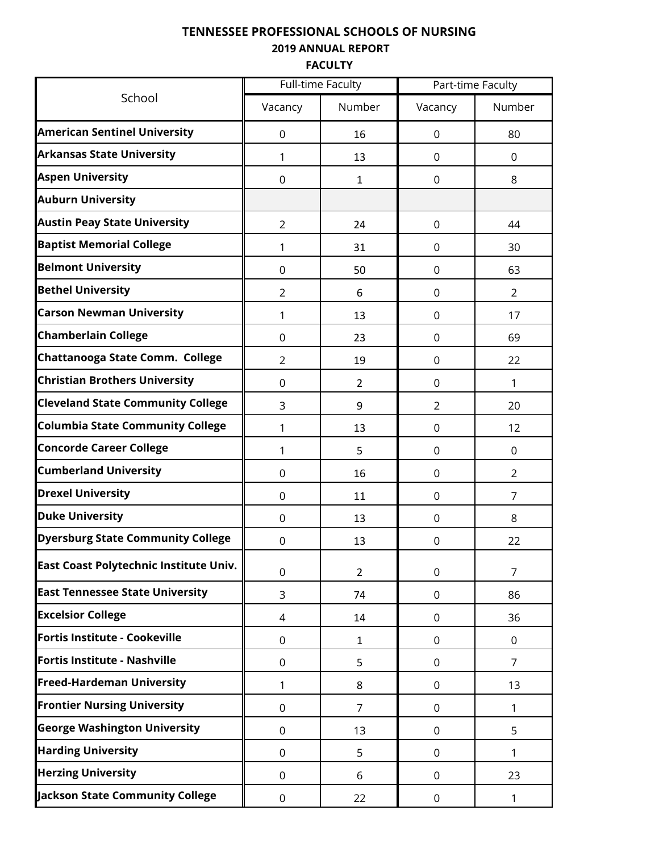**2019 ANNUAL REPORT**

**FACULTY**

|                                          |                | <b>Full-time Faculty</b> |                  | Part-time Faculty |  |
|------------------------------------------|----------------|--------------------------|------------------|-------------------|--|
| School                                   | Vacancy        | Number                   | Vacancy          | Number            |  |
| <b>American Sentinel University</b>      | 0              | 16                       | 0                | 80                |  |
| <b>Arkansas State University</b>         | 1              | 13                       | 0                | $\Omega$          |  |
| <b>Aspen University</b>                  | $\mathbf 0$    | $\mathbf{1}$             | 0                | 8                 |  |
| <b>Auburn University</b>                 |                |                          |                  |                   |  |
| <b>Austin Peay State University</b>      | $\overline{2}$ | 24                       | 0                | 44                |  |
| <b>Baptist Memorial College</b>          | 1              | 31                       | 0                | 30                |  |
| <b>Belmont University</b>                | 0              | 50                       | 0                | 63                |  |
| <b>Bethel University</b>                 | $\overline{2}$ | 6                        | 0                | 2                 |  |
| <b>Carson Newman University</b>          | 1              | 13                       | 0                | 17                |  |
| <b>Chamberlain College</b>               | $\Omega$       | 23                       | 0                | 69                |  |
| Chattanooga State Comm. College          | $\overline{2}$ | 19                       | 0                | 22                |  |
| <b>Christian Brothers University</b>     | $\overline{0}$ | $\overline{2}$           | 0                | 1                 |  |
| <b>Cleveland State Community College</b> | 3              | 9                        | $\overline{2}$   | 20                |  |
| <b>Columbia State Community College</b>  | 1              | 13                       | 0                | 12                |  |
| <b>Concorde Career College</b>           | 1              | 5                        | 0                | 0                 |  |
| <b>Cumberland University</b>             | $\overline{0}$ | 16                       | 0                | $\overline{2}$    |  |
| <b>Drexel University</b>                 | 0              | 11                       | 0                | 7                 |  |
| <b>Duke University</b>                   | $\Omega$       | 13                       | 0                | 8                 |  |
| <b>Dyersburg State Community College</b> | 0              | 13                       | 0                | 22                |  |
| East Coast Polytechnic Institute Univ.   | $\mathbf 0$    | $\overline{2}$           | $\mathsf 0$      | $\overline{7}$    |  |
| <b>East Tennessee State University</b>   | 3              | 74                       | 0                | 86                |  |
| <b>Excelsior College</b>                 | 4              | 14                       | $\boldsymbol{0}$ | 36                |  |
| Fortis Institute - Cookeville            | $\mathbf 0$    | $\mathbf{1}$             | $\mathbf 0$      | $\mathbf 0$       |  |
| Fortis Institute - Nashville             | 0              | 5                        | 0                | $\overline{7}$    |  |
| <b>Freed-Hardeman University</b>         | 1              | 8                        | 0                | 13                |  |
| <b>Frontier Nursing University</b>       | 0              | $\overline{7}$           | $\boldsymbol{0}$ | 1                 |  |
| <b>George Washington University</b>      | $\overline{0}$ | 13                       | 0                | 5                 |  |
| <b>Harding University</b>                | 0              | 5                        | 0                | 1                 |  |
| <b>Herzing University</b>                | $\overline{0}$ | 6                        | 0                | 23                |  |
| Jackson State Community College          | 0              | 22                       | $\boldsymbol{0}$ | 1                 |  |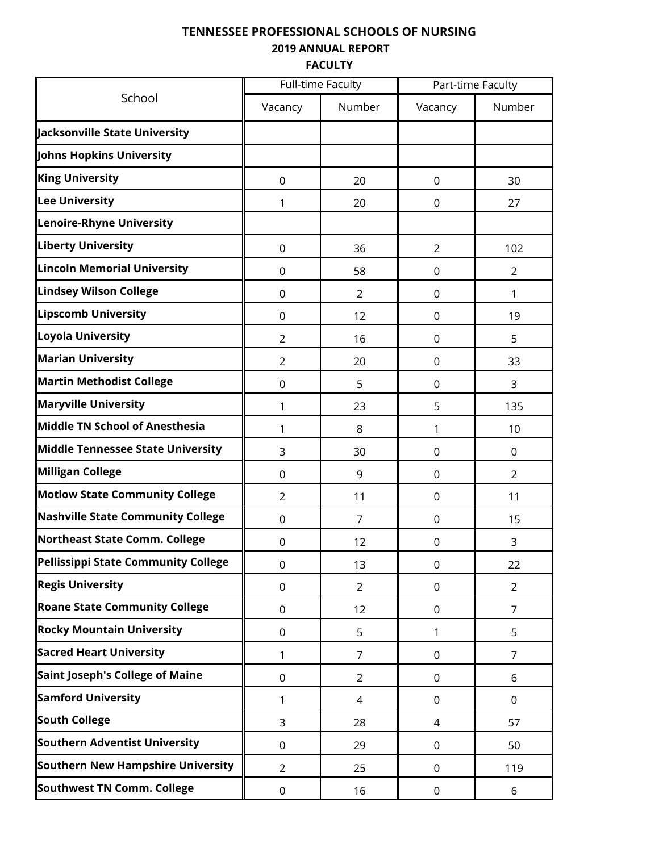**2019 ANNUAL REPORT**

**FACULTY**

|                                          |                | <b>Full-time Faculty</b> | Part-time Faculty |                |  |  |
|------------------------------------------|----------------|--------------------------|-------------------|----------------|--|--|
| School                                   | Vacancy        | Number                   | Vacancy           | Number         |  |  |
| Jacksonville State University            |                |                          |                   |                |  |  |
| Johns Hopkins University                 |                |                          |                   |                |  |  |
| <b>King University</b>                   | 0              | 20                       | 0                 | 30             |  |  |
| <b>Lee University</b>                    | 1              | 20                       | 0                 | 27             |  |  |
| <b>Lenoire-Rhyne University</b>          |                |                          |                   |                |  |  |
| <b>Liberty University</b>                | $\mathbf 0$    | 36                       | $\overline{2}$    | 102            |  |  |
| <b>Lincoln Memorial University</b>       | 0              | 58                       | $\pmb{0}$         | $\overline{2}$ |  |  |
| <b>Lindsey Wilson College</b>            | $\overline{0}$ | 2                        | 0                 | 1              |  |  |
| <b>Lipscomb University</b>               | 0              | 12                       | 0                 | 19             |  |  |
| <b>Loyola University</b>                 | $\overline{2}$ | 16                       | 0                 | 5              |  |  |
| <b>Marian University</b>                 | $\overline{2}$ | 20                       | 0                 | 33             |  |  |
| <b>Martin Methodist College</b>          | $\mathbf 0$    | 5                        | 0                 | 3              |  |  |
| <b>Maryville University</b>              | 1              | 23                       | 5                 | 135            |  |  |
| Middle TN School of Anesthesia           | 1              | 8                        | 1                 | 10             |  |  |
| <b>Middle Tennessee State University</b> | 3              | 30                       | 0                 | 0              |  |  |
| <b>Milligan College</b>                  | $\overline{0}$ | 9                        | 0                 | $\overline{2}$ |  |  |
| <b>Motlow State Community College</b>    | $\overline{2}$ | 11                       | 0                 | 11             |  |  |
| <b>Nashville State Community College</b> | $\overline{0}$ | $\overline{7}$           | 0                 | 15             |  |  |
| <b>Northeast State Comm. College</b>     | 0              | 12                       |                   | 3              |  |  |
| Pellissippi State Community College      | 0              | 13                       | 0                 | 22             |  |  |
| <b>Regis University</b>                  | 0              | $\overline{2}$           | 0                 | $\overline{2}$ |  |  |
| <b>Roane State Community College</b>     | 0              | 12                       | 0                 | $\overline{7}$ |  |  |
| <b>Rocky Mountain University</b>         | 0              | 5                        | 1                 | 5              |  |  |
| <b>Sacred Heart University</b>           | 1              | $\overline{7}$           | $\mathbf 0$       | $\overline{7}$ |  |  |
| <b>Saint Joseph's College of Maine</b>   | 0              | $\overline{2}$           | 0                 | 6              |  |  |
| <b>Samford University</b>                | 1              | 4                        | 0                 | $\mathbf 0$    |  |  |
| <b>South College</b>                     | 3              | 28                       | 4                 | 57             |  |  |
| <b>Southern Adventist University</b>     | 0              | 29                       | $\mathbf 0$       | 50             |  |  |
| <b>Southern New Hampshire University</b> | $\overline{2}$ | 25                       | 0                 | 119            |  |  |
| <b>Southwest TN Comm. College</b>        | 0              | 16                       | 0                 | 6              |  |  |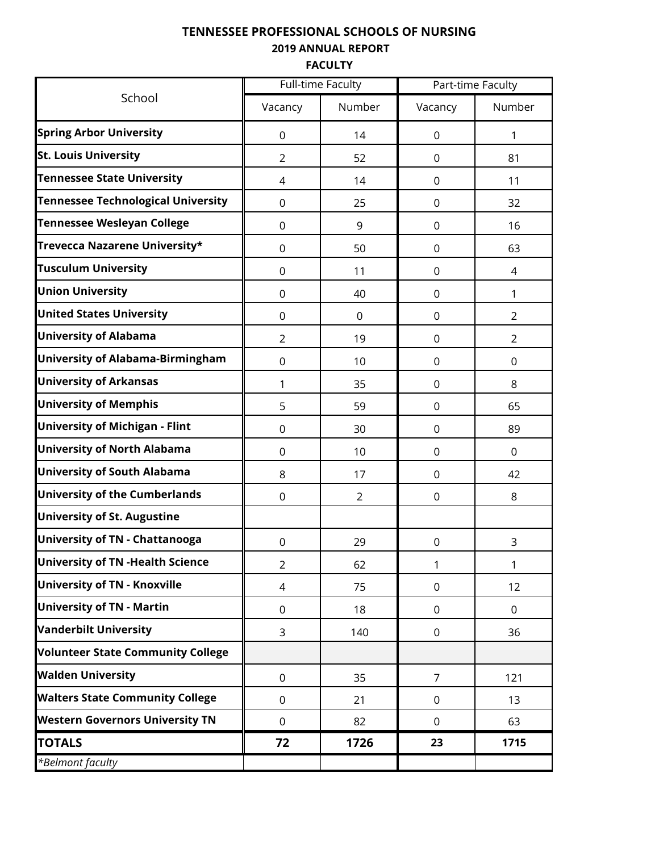**2019 ANNUAL REPORT**

**FACULTY**

|                                           |                | <b>Full-time Faculty</b> |             | Part-time Faculty |  |
|-------------------------------------------|----------------|--------------------------|-------------|-------------------|--|
| School                                    | Vacancy        | Number                   | Vacancy     | Number            |  |
| <b>Spring Arbor University</b>            | $\overline{0}$ | 14                       | 0           | 1                 |  |
| <b>St. Louis University</b>               | $\overline{2}$ | 52                       | 0           | 81                |  |
| <b>Tennessee State University</b>         | 4              | 14                       | 0           | 11                |  |
| <b>Tennessee Technological University</b> | $\overline{0}$ | 25                       | 0           | 32                |  |
| <b>Tennessee Wesleyan College</b>         | $\overline{0}$ | 9                        | 0           | 16                |  |
| Trevecca Nazarene University*             | $\overline{0}$ | 50                       | 0           | 63                |  |
| <b>Tusculum University</b>                | $\mathbf 0$    | 11                       | $\mathbf 0$ | 4                 |  |
| <b>Union University</b>                   | $\overline{0}$ | 40                       | 0           | 1                 |  |
| <b>United States University</b>           | $\overline{0}$ | $\mathbf 0$              | 0           | 2                 |  |
| <b>University of Alabama</b>              | $\overline{2}$ | 19                       | 0           | $\overline{2}$    |  |
| <b>University of Alabama-Birmingham</b>   | $\overline{0}$ | 10                       | $\mathbf 0$ | 0                 |  |
| <b>University of Arkansas</b>             | 1              | 35                       | 0           | 8                 |  |
| <b>University of Memphis</b>              | 5              | 59                       | 0           | 65                |  |
| <b>University of Michigan - Flint</b>     | $\overline{0}$ | 30                       | 0           | 89                |  |
| <b>University of North Alabama</b>        | $\overline{0}$ | 10                       | 0           | $\mathbf 0$       |  |
| <b>University of South Alabama</b>        | 8              | 17                       | 0           | 42                |  |
| <b>University of the Cumberlands</b>      | $\Omega$       | $\overline{2}$           | 0           | 8                 |  |
| <b>University of St. Augustine</b>        |                |                          |             |                   |  |
| <b>University of TN - Chattanooga</b>     | $\mathbf 0$    | 29                       | 0           | 3                 |  |
| <b>University of TN - Health Science</b>  | $\overline{2}$ | 62                       | 1           | 1                 |  |
| <b>University of TN - Knoxville</b>       | 4              | 75                       | 0           | 12                |  |
| <b>University of TN - Martin</b>          | $\overline{0}$ | 18                       | $\mathbf 0$ | $\mathbf 0$       |  |
| <b>Vanderbilt University</b>              | 3              | 140                      | 0           | 36                |  |
| <b>Volunteer State Community College</b>  |                |                          |             |                   |  |
| <b>Walden University</b>                  | $\mathbf 0$    | 35                       | 7           | 121               |  |
| <b>Walters State Community College</b>    | $\Omega$       | 21                       | $\mathbf 0$ | 13                |  |
| <b>Western Governors University TN</b>    | 0              | 82                       | 0           | 63                |  |
| <b>TOTALS</b>                             | 72             | 1726                     | 23          | 1715              |  |
| *Belmont faculty                          |                |                          |             |                   |  |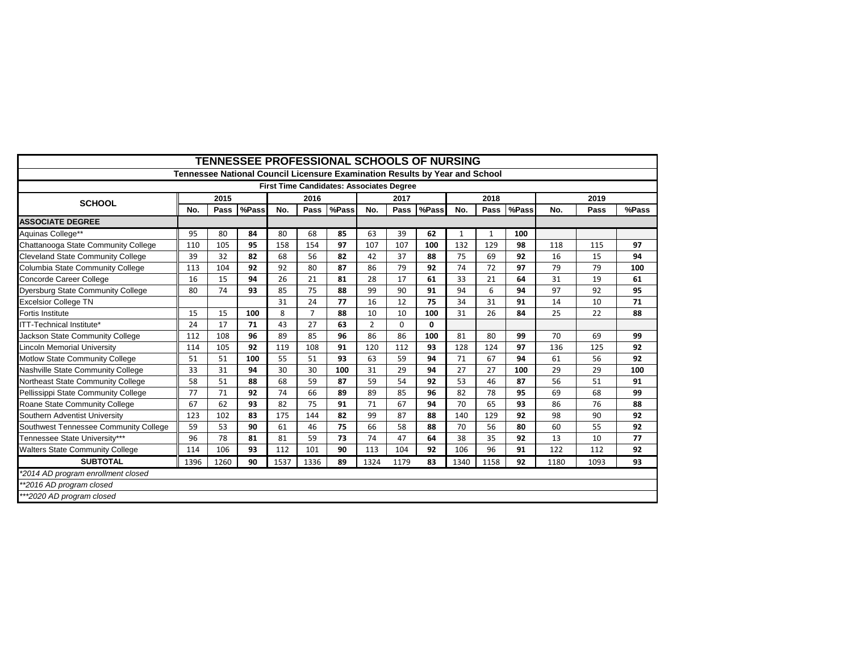| <b>TENNESSEE PROFESSIONAL SCHOOLS OF NURSING</b> |                                                                             |      |       |      |                |       |                |      |       |              |      |       |      |      |       |
|--------------------------------------------------|-----------------------------------------------------------------------------|------|-------|------|----------------|-------|----------------|------|-------|--------------|------|-------|------|------|-------|
|                                                  | Tennessee National Council Licensure Examination Results by Year and School |      |       |      |                |       |                |      |       |              |      |       |      |      |       |
| <b>First Time Candidates: Associates Degree</b>  |                                                                             |      |       |      |                |       |                |      |       |              |      |       |      |      |       |
| <b>SCHOOL</b>                                    |                                                                             | 2015 |       |      | 2016           |       |                | 2017 |       |              | 2018 |       |      | 2019 |       |
|                                                  | No.                                                                         | Pass | %Pass | No.  | Pass           | %Pass | No.            | Pass | %Pass | No.          | Pass | %Pass | No.  | Pass | %Pass |
| <b>ASSOCIATE DEGREE</b>                          |                                                                             |      |       |      |                |       |                |      |       |              |      |       |      |      |       |
| Aquinas College**                                | 95                                                                          | 80   | 84    | 80   | 68             | 85    | 63             | 39   | 62    | $\mathbf{1}$ | 1    | 100   |      |      |       |
| Chattanooga State Community College              | 110                                                                         | 105  | 95    | 158  | 154            | 97    | 107            | 107  | 100   | 132          | 129  | 98    | 118  | 115  | 97    |
| <b>Cleveland State Community College</b>         | 39                                                                          | 32   | 82    | 68   | 56             | 82    | 42             | 37   | 88    | 75           | 69   | 92    | 16   | 15   | 94    |
| Columbia State Community College                 | 113                                                                         | 104  | 92    | 92   | 80             | 87    | 86             | 79   | 92    | 74           | 72   | 97    | 79   | 79   | 100   |
| Concorde Career College                          | 16                                                                          | 15   | 94    | 26   | 21             | 81    | 28             | 17   | 61    | 33           | 21   | 64    | 31   | 19   | 61    |
| <b>Dyersburg State Community College</b>         | 80                                                                          | 74   | 93    | 85   | 75             | 88    | 99             | 90   | 91    | 94           | 6    | 94    | 97   | 92   | 95    |
| Excelsior College TN                             |                                                                             |      |       | 31   | 24             | 77    | 16             | 12   | 75    | 34           | 31   | 91    | 14   | 10   | 71    |
| Fortis Institute                                 | 15                                                                          | 15   | 100   | 8    | $\overline{7}$ | 88    | 10             | 10   | 100   | 31           | 26   | 84    | 25   | 22   | 88    |
| ITT-Technical Institute*                         | 24                                                                          | 17   | 71    | 43   | 27             | 63    | $\overline{2}$ | 0    | 0     |              |      |       |      |      |       |
| Jackson State Community College                  | 112                                                                         | 108  | 96    | 89   | 85             | 96    | 86             | 86   | 100   | 81           | 80   | 99    | 70   | 69   | 99    |
| <b>Lincoln Memorial University</b>               | 114                                                                         | 105  | 92    | 119  | 108            | 91    | 120            | 112  | 93    | 128          | 124  | 97    | 136  | 125  | 92    |
| Motlow State Community College                   | 51                                                                          | 51   | 100   | 55   | 51             | 93    | 63             | 59   | 94    | 71           | 67   | 94    | 61   | 56   | 92    |
| Nashville State Community College                | 33                                                                          | 31   | 94    | 30   | 30             | 100   | 31             | 29   | 94    | 27           | 27   | 100   | 29   | 29   | 100   |
| Northeast State Community College                | 58                                                                          | 51   | 88    | 68   | 59             | 87    | 59             | 54   | 92    | 53           | 46   | 87    | 56   | 51   | 91    |
| Pellissippi State Community College              | 77                                                                          | 71   | 92    | 74   | 66             | 89    | 89             | 85   | 96    | 82           | 78   | 95    | 69   | 68   | 99    |
| Roane State Community College                    | 67                                                                          | 62   | 93    | 82   | 75             | 91    | 71             | 67   | 94    | 70           | 65   | 93    | 86   | 76   | 88    |
| Southern Adventist University                    | 123                                                                         | 102  | 83    | 175  | 144            | 82    | 99             | 87   | 88    | 140          | 129  | 92    | 98   | 90   | 92    |
| Southwest Tennessee Community College            | 59                                                                          | 53   | 90    | 61   | 46             | 75    | 66             | 58   | 88    | 70           | 56   | 80    | 60   | 55   | 92    |
| Tennessee State University***                    | 96                                                                          | 78   | 81    | 81   | 59             | 73    | 74             | 47   | 64    | 38           | 35   | 92    | 13   | 10   | 77    |
| <b>Walters State Community College</b>           | 114                                                                         | 106  | 93    | 112  | 101            | 90    | 113            | 104  | 92    | 106          | 96   | 91    | 122  | 112  | 92    |
| <b>SUBTOTAL</b>                                  | 1396                                                                        | 1260 | 90    | 1537 | 1336           | 89    | 1324           | 1179 | 83    | 1340         | 1158 | 92    | 1180 | 1093 | 93    |
| *2014 AD program enrollment closed               |                                                                             |      |       |      |                |       |                |      |       |              |      |       |      |      |       |
| **2016 AD program closed                         |                                                                             |      |       |      |                |       |                |      |       |              |      |       |      |      |       |
| ***2020 AD program closed                        |                                                                             |      |       |      |                |       |                |      |       |              |      |       |      |      |       |